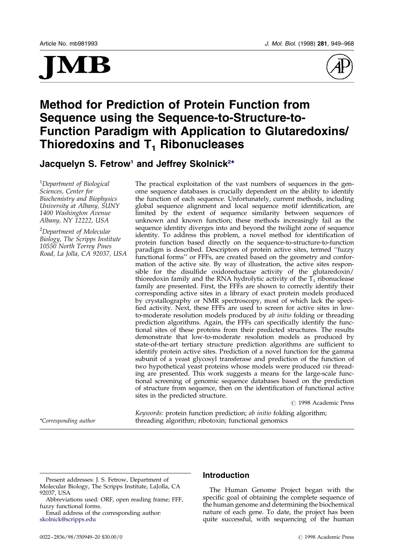



# Method for Prediction of Protein Function from Sequence using the Sequence-to-Structure-to-Function Paradigm with Application to Glutaredoxins/ Thioredoxins and  $T_1$  Ribonucleases

Jacquelyn S. Fetrow<sup>1</sup> and Jeffrey Skolnick<sup>2\*</sup>

<sup>1</sup>Department of Biological Sciences, Center for Biochemistry and Biophysics University at Albany, SUNY 1400 Washington Avenue Albany, NY 12222, USA

<sup>2</sup>Department of Molecular Biology, The Scripps Institute 10550 North Torrey Pines Road, La Jolla, CA 92037, USA The practical exploitation of the vast numbers of sequences in the genome sequence databases is crucially dependent on the ability to identify the function of each sequence. Unfortunately, current methods, including global sequence alignment and local sequence motif identification, are limited by the extent of sequence similarity between sequences of unknown and known function; these methods increasingly fail as the sequence identity diverges into and beyond the twilight zone of sequence identity. To address this problem, a novel method for identification of protein function based directly on the sequence-to-structure-to-function paradigm is described. Descriptors of protein active sites, termed "fuzzy functional forms'' or FFFs, are created based on the geometry and conformation of the active site. By way of illustration, the active sites responsible for the disulfide oxidoreductase activity of the glutaredoxin/ thioredoxin family and the RNA hydrolytic activity of the  $T_1$  ribonuclease family are presented. First, the FFFs are shown to correctly identify their corresponding active sites in a library of exact protein models produced by crystallography or NMR spectroscopy, most of which lack the speci fied activity. Next, these FFFs are used to screen for active sites in lowto-moderate resolution models produced by ab initio folding or threading prediction algorithms. Again, the FFFs can specifically identify the functional sites of these proteins from their predicted structures. The results demonstrate that low-to-moderate resolution models as produced by state-of-the-art tertiary structure prediction algorithms are sufficient to identify protein active sites. Prediction of a novel function for the gamma subunit of a yeast glycosyl transferase and prediction of the function of two hypothetical yeast proteins whose models were produced via threading are presented. This work suggests a means for the large-scale functional screening of genomic sequence databases based on the prediction of structure from sequence, then on the identification of functional active sites in the predicted structure.

 $\odot$  1998 Academic Press

Keywords: protein function prediction; ab initio folding algorithm; \*Corresponding author threading algorithm; ribotoxin; functional genomics

Present addresses: J. S. Fetrow, Department of Molecular Biology, The Scripps Institute, LaJolla, CA 92037, USA

Email address of the corresponding author: [skolnick@scripps.edu](mailto:skolnick@scripps.edu)

# Introduction

The Human Genome Project began with the specific goal of obtaining the complete sequence of the human genome and determining the biochemical nature of each gene. To date, the project has been quite successful, with sequencing of the human

Abbreviations used: ORF, open reading frame; FFF, fuzzy functional forms.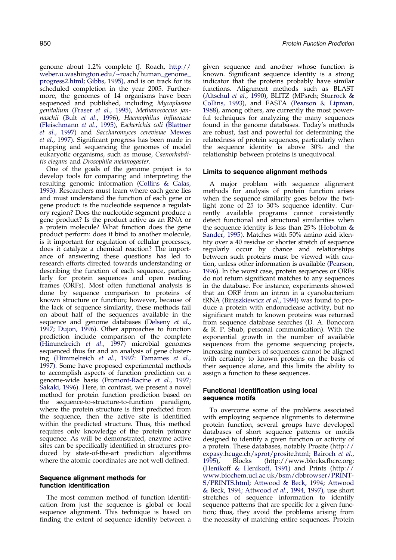genome about 1.2% complete (J. Roach, [http://](http://weber.u.washington.edu/~roach/human_genome_progress2.html) [weber.u.washington.edu/~roach/human\\_genome\\_](http://weber.u.washington.edu/~roach/human_genome_progress2.html) [progress2.html;](http://weber.u.washington.edu/~roach/human_genome_progress2.html) [Gibbs,](#page-17-0) 1995), and is on track for its scheduled completion in the year 2005. Furthermore, the genomes of 14 organisms have been sequenced and published, including Mycoplasma genitalium [\(Fraser](#page-17-0) et al., 1995), Methanococcus jan-naschii (Bult et al., [1996\),](#page-17-0) Haemophilus influenzae [\(Fleischmann](#page-17-0) et al., 1995), Escherichia coli [\(Blattner](#page-17-0) et al., [1997\)](#page-17-0) and Saccharomyces cerevisiae [Mewes](#page-18-0) et al., [1997\).](#page-18-0) Significant progress has been made in mapping and sequencing the genomes of model eukaryotic organisms, such as mouse, Caenorhabditis elegans and Drosophila melanogaster.

One of the goals of the genome project is to develop tools for comparing and interpreting the resulting genomic information [\(Collins](#page-17-0) & Galas, [1993\).](#page-17-0) Researchers must learn where each gene lies and must understand the function of each gene or gene product: is the nucleotide sequence a regulatory region? Does the nucleotide segment produce a gene product? Is the product active as an RNA or a protein molecule? What function does the gene product perform: does it bind to another molecule, is it important for regulation of cellular processes, does it catalyze a chemical reaction? The importance of answering these questions has led to research efforts directed towards understanding or describing the function of each sequence, particularly for protein sequences and open reading frames (ORFs). Most often functional analysis is done by sequence comparison to proteins of known structure or function; however, because of the lack of sequence similarity, these methods fail on about half of the sequences available in the sequence and genome databases [\(Delseny](#page-17-0) et al., [1997;](#page-17-0) [Dujon,](#page-17-0) 1996). Other approaches to function prediction include comparison of the complete [\(Himmelreich](#page-17-0) et al., 1997) microbial genomes sequenced thus far and an analysis of gene clustering [\(Himmelreich](#page-17-0) et al., 1997: [Tamames](#page-18-0) et al., [1997\).](#page-18-0) Some have proposed experimental methods to accomplish aspects of function prediction on a genome-wide basis [\(Fromont-Racine](#page-17-0) et al., 1997; [Sakaki,](#page-17-0) 1996). Here, in contrast, we present a novel method for protein function prediction based on the sequence-to-structure-to-function paradigm, where the protein structure is first predicted from the sequence, then the active site is identified within the predicted structure. Thus, this method requires only knowledge of the protein primary sequence. As will be demonstrated, enzyme active sites can be specifically identified in structures produced by state-of-the-art prediction algorithms where the atomic coordinates are not well defined.

## Sequence alignment methods for function identification

The most common method of function identification from just the sequence is global or local sequence alignment. This technique is based on finding the extent of sequence identity between a given sequence and another whose function is known. Significant sequence identity is a strong indicator that the proteins probably have similar functions. Alignment methods such as BLAST [\(Altschul](#page-16-0) et al., 1990), BLITZ (MPsrch; [Sturrock](#page-18-0) & [Collins,](#page-18-0) 1993), and FASTA [\(Pearson](#page-18-0) & Lipman, [1988\),](#page-18-0) among others, are currently the most powerful techniques for analyzing the many sequences found in the genome databases. Today's methods are robust, fast and powerful for determining the relatedness of protein sequences, particularly when the sequence identity is above 30% and the relationship between proteins is unequivocal.

#### Limits to sequence alignment methods

A major problem with sequence alignment methods for analysis of protein function arises when the sequence similarity goes below the twilight zone of 25 to 30% sequence identity. Currently available programs cannot consistently detect functional and structural similarities when the sequence identity is less than 25% [\(Hobohm](#page-17-0) & [Sander,](#page-17-0) 1995). Matches with 50% amino acid identity over a 40 residue or shorter stretch of sequence regularly occur by chance and relationships between such proteins must be viewed with caution, unless other information is available [\(Pearson,](#page-18-0) [1996\).](#page-18-0) In the worst case, protein sequences or ORFs do not return significant matches to any sequences in the database. For instance, experiments showed that an ORF from an intron in a cyanobacterium tRNA [\(Biniszkiewicz](#page-16-0) et al., 1994) was found to produce a protein with endonuclease activity, but no significant match to known proteins was returned from sequence database searches (D. A. Bonocora & R. P. Shub, personal communication). With the exponential growth in the number of available sequences from the genome sequencing projects, increasing numbers of sequences cannot be aligned with certainty to known proteins on the basis of their sequence alone, and this limits the ability to assign a function to these sequences.

## Functional identification using local sequence motifs

To overcome some of the problems associated with employing sequence alignments to determine protein function, several groups have developed databases of short sequence patterns or motifs designed to identify a given function or activity of a protein. These databases, notably Prosite ([http://](http://expasy.hcuge.ch/sprot/prosite.html) [expasy.hcuge.ch/sprot/prosite.html;](http://expasy.hcuge.ch/sprot/prosite.html) [Bairoch](#page-16-0) et al.,<br>1995), Blocks (http://www.blocks.fhcrc.org; (http://www.blocks.fhcrc.org; [\(Henikoff](#page-17-0) & Henikoff, 1991) and Prints [\(http://](http://www.biochem.ucl.ac.uk/bsm/dbbrowser/PRINTS/PRINTS.html) [www.biochem.ucl.ac.uk/bsm/dbbrowser/PRINT-](http://www.biochem.ucl.ac.uk/bsm/dbbrowser/PRINTS/PRINTS.html)[S/PRINTS.html;](http://www.biochem.ucl.ac.uk/bsm/dbbrowser/PRINTS/PRINTS.html) [Attwood](#page-16-0) & Beck, 1994; [Attwood](#page-16-0) & [Beck,](#page-16-0) 1994; [Attwood](#page-16-0) et al., 1994, 1997), use short stretches of sequence information to identify sequence patterns that are specific for a given function; thus, they avoid the problems arising from the necessity of matching entire sequences. Protein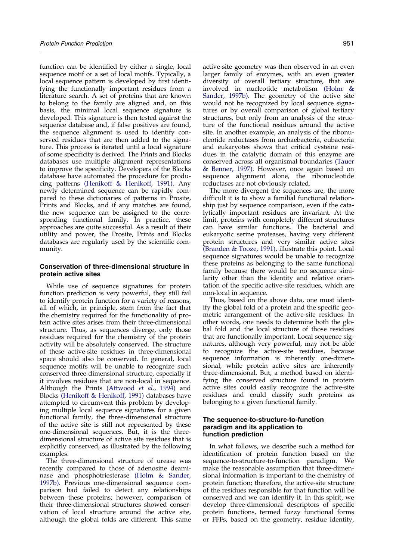function can be identified by either a single, local sequence motif or a set of local motifs. Typically, a local sequence pattern is developed by first identifying the functionally important residues from a literature search. A set of proteins that are known to belong to the family are aligned and, on this basis, the minimal local sequence signature is developed. This signature is then tested against the sequence database and, if false positives are found, the sequence alignment is used to identify conserved residues that are then added to the signature. This process is iterated until a local signature of some specificity is derived. The Prints and Blocks databases use multiple alignment representations to improve the specificity. Developers of the Blocks database have automated the procedure for producing patterns [\(Henikoff](#page-17-0) & Henikoff, 1991). Any newly determined sequence can be rapidly compared to these dictionaries of patterns in Prosite, Prints and Blocks, and if any matches are found, the new sequence can be assigned to the corresponding functional family. In practice, these approaches are quite successful. As a result of their utility and power, the Prosite, Prints and Blocks databases are regularly used by the scientific community.

## Conservation of three-dimensional structure in protein active sites

While use of sequence signatures for protein function prediction is very powerful, they still fail to identify protein function for a variety of reasons, all of which, in principle, stem from the fact that the chemistry required for the functionality of protein active sites arises from their three-dimensional structure. Thus, as sequences diverge, only those residues required for the chemistry of the protein activity will be absolutely conserved. The structure of these active-site residues in three-dimensional space should also be conserved. In general, local sequence motifs will be unable to recognize such conserved three-dimensional structure, especially if it involves residues that are non-local in sequence. Although the Prints [\(Attwood](#page-16-0) et al., 1994) and Blocks [\(Henikoff](#page-17-0) & Henikoff, 1991) databases have attempted to circumvent this problem by developing multiple local sequence signatures for a given functional family, the three-dimensional structure of the active site is still not represented by these one-dimensional sequences. But, it is the threedimensional structure of active site residues that is explicitly conserved, as illustrated by the following examples.

The three-dimensional structure of urease was recently compared to those of adenosine deaminase and phosphotriesterase (Holm & [Sander,](#page-17-0) [1997b\).](#page-17-0) Previous one-dimensional sequence comparison had failed to detect any relationships between these proteins; however, comparison of their three-dimensional structures showed conservation of local structure around the active site, although the global folds are different. This same active-site geometry was then observed in an even larger family of enzymes, with an even greater diversity of overall tertiary structure, that are involved in nucleotide metabolism [\(Holm](#page-17-0) & [Sander,](#page-17-0) 1997b). The geometry of the active site would not be recognized by local sequence signatures or by overall comparison of global tertiary structures, but only from an analysis of the structure of the functional residues around the active site. In another example, an analysis of the ribonucleotide reductases from archaebacteria, eubacteria and eukaryotes shows that critical cysteine residues in the catalytic domain of this enzyme are conserved across all organismal boundaries [\(Tauer](#page-18-0) & [Benner,](#page-18-0) 1997). However, once again based on sequence alignment alone, the ribonucleotide reductases are not obviously related.

The more divergent the sequences are, the more difficult it is to show a familial functional relationship just by sequence comparison, even if the catalytically important residues are invariant. At the limit, proteins with completely different structures can have similar functions. The bacterial and eukaryotic serine proteases, having very different protein structures and very similar active sites [\(Branden](#page-17-0) & Tooze, 1991), illustrate this point. Local sequence signatures would be unable to recognize these proteins as belonging to the same functional family because there would be no sequence similarity other than the identity and relative orientation of the specific active-site residues, which are non-local in sequence.

Thus, based on the above data, one must identify the global fold of a protein and the specific geometric arrangement of the active-site residues. In other words, one needs to determine both the global fold and the local structure of those residues that are functionally important. Local sequence signatures, although very powerful, may not be able to recognize the active-site residues, because sequence information is inherently one-dimensional, while protein active sites are inherently three-dimensional. But, a method based on identifying the conserved structure found in protein active sites could easily recognize the active-site residues and could classify such proteins as belonging to a given functional family.

#### The sequence-to-structure-to-function paradigm and its application to function prediction

In what follows, we describe such a method for identification of protein function based on the sequence-to-structure-to-function paradigm. We make the reasonable assumption that three-dimensional information is important to the chemistry of protein function; therefore, the active-site structure of the residues responsible for that function will be conserved and we can identify it. In this spirit, we develop three-dimensional descriptors of specific protein functions, termed fuzzy functional forms or FFFs, based on the geometry, residue identity,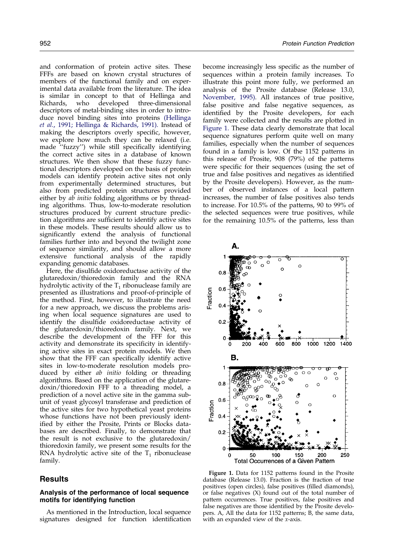<span id="page-3-0"></span>and conformation of protein active sites. These FFFs are based on known crystal structures of members of the functional family and on experimental data available from the literature. The idea is similar in concept to that of Hellinga and Richards, who developed three-dimensional descriptors of metal-binding sites in order to introduce novel binding sites into proteins [\(Hellinga](#page-17-0) et al., [1991;](#page-17-0) Hellinga & [Richards,](#page-17-0) 1991). Instead of making the descriptors overly specific, however, we explore how much they can be relaxed (i.e. made "fuzzy") while still specifically identifying the correct active sites in a database of known structures. We then show that these fuzzy functional descriptors developed on the basis of protein models can identify protein active sites not only from experimentally determined structures, but also from predicted protein structures provided either by ab initio folding algorithms or by threading algorithms. Thus, low-to-moderate resolution structures produced by current structure prediction algorithms are sufficient to identify active sites in these models. These results should allow us to significantly extend the analysis of functional families further into and beyond the twilight zone of sequence similarity, and should allow a more extensive functional analysis of the rapidly expanding genomic databases.

Here, the disulfide oxidoreductase activity of the glutaredoxin/thioredoxin family and the RNA hydrolytic activity of the  $T_1$  ribonuclease family are presented as illustrations and proof-of-principle of the method. First, however, to illustrate the need for a new approach, we discuss the problems arising when local sequence signatures are used to identify the disulfide oxidoreductase activity of the glutaredoxin/thioredoxin family. Next, we describe the development of the FFF for this activity and demonstrate its specificity in identifying active sites in exact protein models. We then show that the FFF can specifically identify active sites in low-to-moderate resolution models produced by either ab initio folding or threading algorithms. Based on the application of the glutaredoxin/thioredoxin FFF to a threading model, a prediction of a novel active site in the gamma subunit of yeast glycosyl transferase and prediction of the active sites for two hypothetical yeast proteins whose functions have not been previously identified by either the Prosite, Prints or Blocks databases are described. Finally, to demonstrate that the result is not exclusive to the glutaredoxin/ thioredoxin family, we present some results for the RNA hydrolytic active site of the  $T_1$  ribonuclease family.

# **Results**

## Analysis of the performance of local sequence motifs for identifying function

As mentioned in the Introduction, local sequence signatures designed for function identification

become increasingly less specific as the number of sequences within a protein family increases. To illustrate this point more fully, we performed an analysis of the Prosite database (Release 13.0, [November,](#page-18-0) 1995). All instances of true positive, false positive and false negative sequences, as identified by the Prosite developers, for each family were collected and the results are plotted in Figure 1. These data clearly demonstrate that local sequence signatures perform quite well on many families, especially when the number of sequences found in a family is low. Of the 1152 patterns in this release of Prosite, 908 (79%) of the patterns were specific for their sequences (using the set of true and false positives and negatives as identified by the Prosite developers). However, as the number of observed instances of a local pattern increases, the number of false positives also tends to increase. For 10.5% of the patterns, 90 to 99% of the selected sequences were true positives, while for the remaining 10.5% of the patterns, less than



Figure 1. Data for 1152 patterns found in the Prosite database (Release 13.0). Fraction is the fraction of true positives (open circles), false positives (filled diamonds), or false negatives (X) found out of the total number of pattern occurrences. True positives, false positives and false negatives are those identified by the Prosite developers. A, All the data for 1152 patterns; B, the same data, with an expanded view of the  $x$ -axis.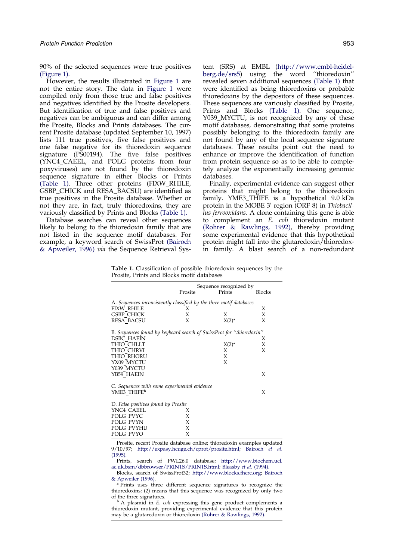<span id="page-4-0"></span>90% of the selected sequences were true positives [\(Figure](#page-3-0) 1).

However, the results illustrated in [Figure](#page-3-0) 1 are not the entire story. The data in [Figure](#page-3-0) 1 were compiled only from those true and false positives and negatives identified by the Prosite developers. But identification of true and false positives and negatives can be ambiguous and can differ among the Prosite, Blocks and Prints databases. The current Prosite database (updated September 10, 1997) lists 111 true positives, five false positives and one false negative for its thioredoxin sequence signature (PS00194). The five false positives (YNC4\_CAEEL, and POLG proteins from four poxyviruses) are not found by the thioredoxin sequence signature in either Blocks or Prints (Table 1). Three other proteins (FIXW\_RHILE, GSBP\_CHICK and RESA\_BACSU) are identified as true positives in the Prosite database. Whether or not they are, in fact, truly thioredoxins, they are variously classified by Prints and Blocks (Table 1).

Database searches can reveal other sequences likely to belong to the thioredoxin family that are not listed in the sequence motif databases. For example, a keyword search of SwissProt [\(Bairoch](#page-16-0) & [Apweiler,](#page-16-0) 1996) via the Sequence Retrieval Sys-

tem (SRS) at EMBL [\(http://www.embl-heidel](http://www.embl-heidelberg.de/srs5)[berg.de/srs5\)](http://www.embl-heidelberg.de/srs5) using the word "thioredoxin" revealed seven additional sequences (Table 1) that were identified as being thioredoxins or probable thioredoxins by the depositors of these sequences. These sequences are variously classified by Prosite, Prints and Blocks (Table 1). One sequence, Y039\_MYCTU, is not recognized by any of these motif databases, demonstrating that some proteins possibly belonging to the thioredoxin family are not found by any of the local sequence signature databases. These results point out the need to enhance or improve the identification of function from protein sequence so as to be able to completely analyze the exponentially increasing genomic databases.

Finally, experimental evidence can suggest other proteins that might belong to the thioredoxin family. YME3\_THIFE is a hypothetical 9.0 kDa protein in the MOBE 3' region (ORF 8) in Thiobacillus ferrooxidans. A clone containing this gene is able to complement an E. coli thioredoxin mutant (Rohrer & [Rawlings,](#page-18-0) 1992), thereby providing some experimental evidence that this hypothetical protein might fall into the glutaredoxin/thioredoxin family. A blast search of a non-redundant

Table 1. Classification of possible thioredoxin sequences by the Prosite, Prints and Blocks motif databases

|                                                                      | Sequence recognized by |                   |               |  |  |  |  |  |
|----------------------------------------------------------------------|------------------------|-------------------|---------------|--|--|--|--|--|
|                                                                      | Prosite                | Prints            | <b>Blocks</b> |  |  |  |  |  |
| A. Sequences inconsistently classified by the three motif databases  |                        |                   |               |  |  |  |  |  |
| <b>FIXW RHILE</b>                                                    | X                      |                   | X             |  |  |  |  |  |
| <b>GSBP CHICK</b>                                                    | X                      | X                 | X             |  |  |  |  |  |
| RESA BACSU                                                           | X                      | $X(2)^a$          | X             |  |  |  |  |  |
| B. Sequences found by keyboard search of SwissProt for "thioredoxin" |                        |                   |               |  |  |  |  |  |
| <b>DSBC HAEIN</b>                                                    |                        |                   | X             |  |  |  |  |  |
| THIO CHLLT                                                           |                        | X(2) <sup>a</sup> | X             |  |  |  |  |  |
| THIO CHRVI                                                           |                        | X                 | X             |  |  |  |  |  |
| THIO RHORU                                                           |                        | X                 |               |  |  |  |  |  |
| YX09 MYCTU                                                           |                        | X                 |               |  |  |  |  |  |
| Y039 MYCTU                                                           |                        |                   |               |  |  |  |  |  |
| YB59 HAEIN                                                           |                        |                   | X             |  |  |  |  |  |
| C. Sequences with some experimental evidence                         |                        |                   |               |  |  |  |  |  |
| YME3 THIFE <sup>b</sup>                                              |                        |                   | X             |  |  |  |  |  |
| D. False positives found by Prosite                                  |                        |                   |               |  |  |  |  |  |
| YNC4 CAEEL                                                           | X                      |                   |               |  |  |  |  |  |
| POLG PVYC                                                            | X                      |                   |               |  |  |  |  |  |
| POLG PVYN                                                            | X                      |                   |               |  |  |  |  |  |
| POLG PVYHU                                                           | X                      |                   |               |  |  |  |  |  |
| POLG PVYO                                                            | X                      |                   |               |  |  |  |  |  |

Prosite, recent Prosite database online; thioredoxin examples updated 9/10/97; [http://expasy.hcuge.ch/cprot/prosite.html;](http://expasy.hcuge.ch/cprot/prosite.html) [Bairoch](#page-17-0) et al. [\(1995\).](#page-17-0)

Prints, search of PWL26.0 database; [http://www.biochem.ucl.](http://www.biochem.ucl.ac.uk.bsm/dbbrowser/PRINTS/PRINTS.html) [ac.uk.bsm/dbbrowser/PRINTS/PRINTS.html;](http://www.biochem.ucl.ac.uk.bsm/dbbrowser/PRINTS/PRINTS.html) [Bleasby](#page-16-0) et al. (1994).

Blocks, search of SwissProt32; [http://www.blocks.fhcrc.org;](http://www.blocks.fhcrc.org) [Bairoch](#page-17-0)

<sup>a</sup> Prints uses three different sequence signatures to recognize the thioredoxins; (2) means that this sequence was recognized by only two

of the three signatures.<br> $b^b$  A plasmid in *E. coli* expressing this gene product complements a thioredoxin mutant, providing experimental evidence that this protein may be a glutaredoxin or thioredoxin (Rohrer & [Rawlings,](#page-18-0) 1992).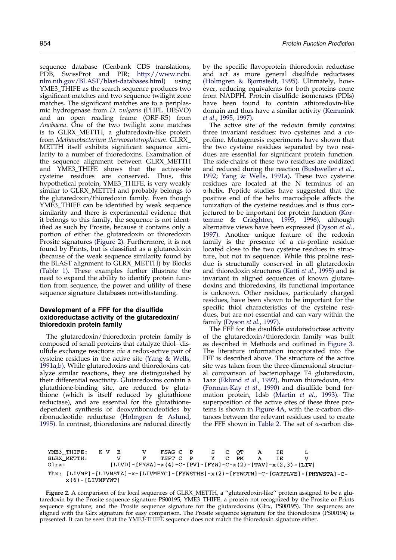sequence database (Genbank CDS translations, PDB, SwissProt and PIR; [http://www.ncbi.](http://www.ncbi.nlm.nih.gov/BLAST/blast-databases.html) [nlm.nih.gov/BLAST/blast-databases.html\)](http://www.ncbi.nlm.nih.gov/BLAST/blast-databases.html) using YME3\_THIFE as the search sequence produces two significant matches and two sequence twilight zone matches. The significant matches are to a periplasmic hydrogenase from D. vulgaris (PHFL\_DESVO) and an open reading frame (ORF-R5) from Anabaena. One of the two twilight zone matches is to GLRX\_METTH, a glutaredoxin-like protein from Methanobacterium thermoautotrophicum. GLRX\_ METTH itself exhibits significant sequence similarity to a number of thioredoxins. Examination of the sequence alignment between GLRX\_METTH and YME3\_THIFE shows that the active-site cysteine residues are conserved. Thus, this hypothetical protein, YME3\_THIFE, is very weakly similar to GLRX\_METTH and probably belongs to the glutaredoxin/thioredoxin family. Even though YME3\_THIFE can be identified by weak sequence similarity and there is experimental evidence that it belongs to this family, the sequence is not identified as such by Prosite, because it contains only a portion of either the glutaredoxin or thioredoxin Prosite signatures (Figure 2). Furthermore, it is not found by Prints, but is classified as a glutaredoxin (because of the weak sequence similarity found by the BLAST alignment to GLRX\_METTH) by Blocks [\(Table](#page-4-0) 1). These examples further illustrate the need to expand the ability to identify protein function from sequence, the power and utility of these sequence signature databases notwithstanding.

## Development of a FFF for the disulfide oxidoreductase activity of the glutaredoxin/ thioredoxin protein family

The glutaredoxin/thioredoxin protein family is composed of small proteins that catalyze thiol-disulfide exchange reactions  $via$  a redox-active pair of cysteine residues in the active site (Yang & [Wells,](#page-19-0) [1991a,b\).](#page-19-0) While glutaredoxins and thioredoxins catalyze similar reactions, they are distinguished by their differential reactivity. Glutaredoxins contain a glutathione-binding site, are reduced by glutathione (which is itself reduced by glutathione reductase), and are essential for the glutathionedependent synthesis of deoxyribonucleotides by ribonucleotide reductase [\(Holmgren](#page-18-0) & Aslund, [1995\).](#page-18-0) In contrast, thioredoxins are reduced directly by the specific flavoprotein thioredoxin reductase and act as more general disulfide reductases [\(Holmgren](#page-18-0) & Bjornstedt, 1995). Ultimately, however, reducing equivalents for both proteins come from NADPH. Protein disulfide isomerases (PDIs) have been found to contain athioredoxin-like domain and thus have a similar activity [\(Kemmink](#page-18-0) et al., [1995,](#page-18-0) [1997\).](#page-18-0)

The active site of the redoxin family contains three invariant residues: two cysteines and a cisproline. Mutagenesis experiments have shown that the two cysteine residues separated by two residues are essential for significant protein function. The side-chains of these two residues are oxidized and reduced during the reaction [\(Bushweller](#page-17-0) *et al.*, [1992;](#page-17-0) Yang & Wells, [1991a\).](#page-19-0) These two cysteine residues are located at the N terminus of an a-helix. Peptide studies have suggested that the positive end of the helix macrodipole affects the ionization of the cysteine residues and is thus conjectured to be important for protein function [\(Kor](#page-18-0)temme & [Crieghton,](#page-18-0) 1995, 1996), although alternative views have been expressed [\(Dyson](#page-17-0) et al., [1997\).](#page-17-0) Another unique feature of the redoxin family is the presence of a cis-proline residue located close to the two cysteine residues in structure, but not in sequence. While this proline residue is structurally conserved in all glutaredoxin and thioredoxin structures [\(Katti](#page-18-0) et al., 1995) and is invariant in aligned sequences of known glutaredoxins and thioredoxins, its functional importance is unknown. Other residues, particularly charged residues, have been shown to be important for the specific thiol characteristics of the cysteine residues, but are not essential and can vary within the family [\(Dyson](#page-17-0) et al., 1997).

The FFF for the disulfide oxidoreductase activity of the glutaredoxin/thioredoxin family was built as described in Methods and outlined in [Figure](#page-6-0) 3. The literature information incorporated into the FFF is described above. The structure of the active site was taken from the three-dimensional structural comparison of bacteriophage T4 glutaredoxin, 1aaz [\(Eklund](#page-17-0) et al., 1992), human thioredoxin, 4trx [\(Forman-Kay](#page-17-0) et al., 1990) and disulfide bond formation protein, 1dsb [\(Martin](#page-18-0) et al., 1993). The superposition of the active sites of these three pro-teins is shown in [Figure](#page-7-0)  $4A$ , with the  $\alpha$ -carbon distances between the relevant residues used to create the FFF shown in [Table](#page-8-0) 2. The set of  $\alpha$ -carbon dis-

FSAG C P<br>TSPT C P YME3 THIFE: K V E  $\mathbf v$  $\mathbf{C}$ **OT** S  $\mathbf{A}$ TE. Τ.  $C$   $\overline{PM}$  $\mathbf{v}$ GLRX METTH:  $\overline{M}$  $F$  $\mathbf{A}$ **IE** ٦T  $[LIVD] - [FYSA] - x(4) - C - [PV] - [FYW] - C - x(2) - [TAV] - x(2,3) - [LIV]$ Glrx: Thx: [LIVMF]-[LIVMSTA]-x-[LIVMFYC]-[FYWSTHE]-x(2)-[FYWGTN]-C-[GATPLVE]-[PHYWSTA]-C $x(6) - [LIUMFYWT]$ 

Figure 2. A comparison of the local sequences of GLRX\_METTH, a "glutaredoxin-like" protein assigned to be a glutaredoxin by the Prosite sequence signature PS00195; YME3\_THIFE, a protein not recognized by the Prosite or Prints sequence signature; and the Prosite sequence signature for the glutaredoxins (Glrx, PS00195). The sequences are aligned with the Glrx signature for easy comparison. The Prosite sequence signature for the thioredoxins (PS00194) is presented. It can be seen that the YME3-THIFE sequence does not match the thioredoxin signature either.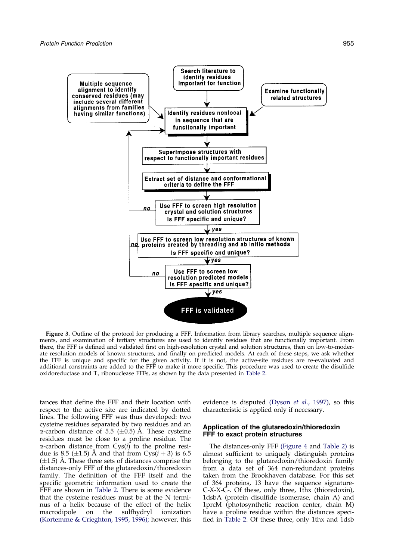<span id="page-6-0"></span>

Figure 3. Outline of the protocol for producing a FFF. Information from library searches, multiple sequence alignments, and examination of tertiary structures are used to identify residues that are functionally important. From there, the FFF is defined and validated first on high-resolution crystal and solution structures, then on low-to-moderate resolution models of known structures, and finally on predicted models. At each of these steps, we ask whether the FFF is unique and specific for the given activity. If it is not, the active-site residues are re-evaluated and additional constraints are added to the FFF to make it more specific. This procedure was used to create the disulfide oxidoreductase and  $T_1$  ribonuclease FFFs, as shown by the data presented in [Table](#page-8-0) 2.

tances that define the FFF and their location with respect to the active site are indicated by dotted lines. The following FFF was thus developed: two cysteine residues separated by two residues and an  $\alpha$ -carbon distance of 5.5 ( $\pm$ 0.5) Å. These cysteine residues must be close to a proline residue. The  $\alpha$ -carbon distance from Cys(i) to the proline residue is 8.5 ( $\pm$ 1.5) Å and that from Cys( $i + 3$ ) is 6.5  $(\pm 1.5)$  Å. These three sets of distances comprise the distances-only FFF of the glutaredoxin/thioredoxin family. The definition of the FFF itself and the specific geometric information used to create the FFF are shown in [Table](#page-8-0) 2. There is some evidence that the cysteine residues must be at the N terminus of a helix because of the effect of the helix macrodipole on the sulfhydryl ionization macrodipole on [\(Kortemme](#page-18-0) & Crieghton, 1995, 1996); however, this

evidence is disputed [\(Dyson](#page-17-0) et al., 1997), so this characteristic is applied only if necessary.

## Application of the glutaredoxin/thioredoxin FFF to exact protein structures

The distances-only FFF [\(Figure](#page-7-0) 4 and [Table](#page-8-0) 2) is almost sufficient to uniquely distinguish proteins belonging to the glutaredoxin/thioredoxin family from a data set of 364 non-redundant proteins taken from the Brookhaven database. For this set of 364 proteins, 13 have the sequence signature- $C-X-X-C$ . Of these, only three, 1thx (thioredoxin), 1dsbA (protein disulfide isomerase, chain A) and 1prcM (photosynthetic reaction center, chain M) have a proline residue within the distances speci- fied in [Table](#page-8-0) 2. Of these three, only 1thx and 1dsb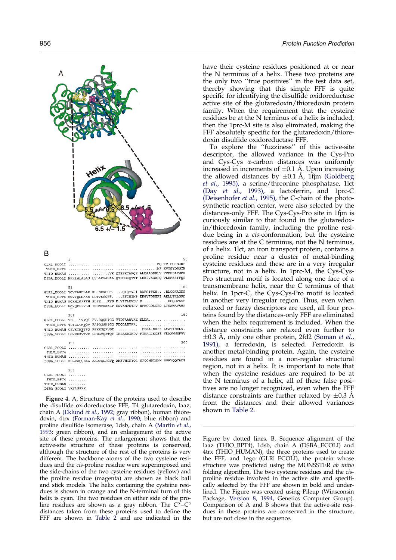<span id="page-7-0"></span>

Figure 4. A, Structure of the proteins used to describe the disulfide oxidoreductase FFF, T4 glutaredoxin, laaz, chain A [\(Eklund](#page-17-0) et al., 1992; gray ribbon), human thioredoxin, 4trx [\(Forman-Kay](#page-17-0) et al., 1990; blue ribbon) and proline disulfide isomerase, 1dsb, chain A [\(Martin](#page-18-0) et al., [1993;](#page-18-0) green ribbon), and an enlargement of the active site of these proteins. The enlargement shows that the active-site structure of these proteins is conserved, although the structure of the rest of the proteins is very different. The backbone atoms of the two cysteine residues and the cis-proline residue were superimposed and the side-chains of the two cysteine residues (yellow) and the proline residue (magenta) are shown as black ball and stick models. The helix containing the cysteine residues is shown in orange and the N-terminal turn of this helix is cyan. The two residues on either side of the proline residues are shown as a gray ribbon. The  $C^{\alpha}-C^{\alpha}$ distances taken from these proteins used to define the FFF are shown in [Table](#page-8-0) 2 and are indicated in the

have their cysteine residues positioned at or near the N terminus of a helix. These two proteins are the only two "true positives" in the test data set, thereby showing that this simple FFF is quite specific for identifying the disulfide oxidoreductase active site of the glutaredoxin/thioredoxin protein family. When the requirement that the cysteine residues be at the N terminus of a helix is included, then the 1prc-M site is also eliminated, making the FFF absolutely specific for the glutaredoxin/thioredoxin disulfide oxidoreductase FFF.

To explore the "fuzziness" of this active-site descriptor, the allowed variance in the Cys-Pro and Cys-Cys a-carbon distances was uniformly increased in increments of  $\pm 0.1$  A. Upon increasing the allowed distances by  $\pm 0.1$  Å, 1fjm [\(Goldberg](#page-17-0) et al., [1995\),](#page-17-0) a serine/threonine phosphatase, 1lct (Day et al., [1993\),](#page-17-0) a lactoferrin, and 1prc-C [\(Deisenhofer](#page-17-0) et al., 1995), the C-chain of the photosynthetic reaction center, were also selected by the distances-only FFF. The Cys-Cys-Pro site in 1fjm is curiously similar to that found in the glutaredoxin/thioredoxin family, including the proline residue being in a cis-conformation, but the cysteine residues are at the C terminus, not the N terminus, of a helix. 1lct, an iron transport protein, contains a proline residue near a cluster of metal-binding cysteine residues and these are in a very irregular structure, not in a helix. In 1prc-M, the Cys-Cys-Pro structural motif is located along one face of a transmembrane helix, near the C terminus of that helix. In 1pcr-C, the Cys-Cys-Pro motif is located in another very irregular region. Thus, even when relaxed or fuzzy descriptors are used, all four proteins found by the distances-only FFF are eliminated when the helix requirement is included. When the distance constraints are relaxed even further to  $\pm 0.3$  Å, only one other protein, 2fd2 [\(Soman](#page-18-0) et al., [1991\),](#page-18-0) a ferredoxin, is selected. Ferredoxin is another metal-binding protein. Again, the cysteine residues are found in a non-regular structural region, not in a helix. It is important to note that when the cysteine residues are required to be at the N terminus of a helix, all of these false positives are no longer recognized, even when the FFF distance constraints are further relaxed by  $\pm 0.3$  Å from the distances and their allowed variances shown in [Table](#page-8-0) 2.

Figure by dotted lines. B, Sequence alignment of the laaz (THIO\_BPT4), 1dsb, chain A (DSBA\_ECOLI) and 4trx (THIO\_HUMAN), the three proteins used to create the FFF, and 1ego (GLRl\_ECOLI), the protein whose structure was predicted using the MONSSTER ab initio folding algorithm, The two cysteine residues and the *cis*proline residue involved in the active site and specifically selected by the FFF are shown in bold and underlined. The Figure was created using Pileup (Winsconsin Package, [Version](#page-18-0) 8, 1994, Genetics Computer Group). Comparison of A and B shows that the active-site residues in these proteins are conserved in the structure, but are not close in the sequence.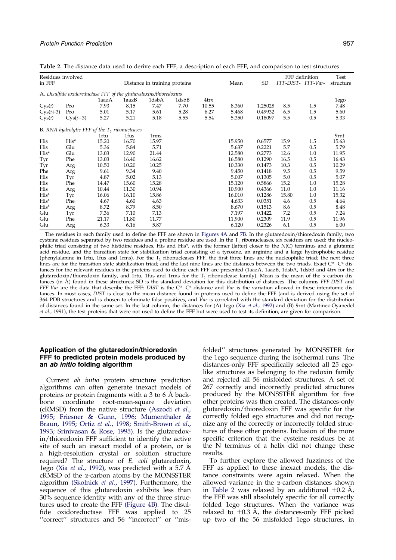| Residues involved<br>in FFF                                       |            |       |       | Distance in training proteins |       |       | Mean   | SD      | FFF-DIST- FFF-Var- | FFF definition | Test<br>structure |
|-------------------------------------------------------------------|------------|-------|-------|-------------------------------|-------|-------|--------|---------|--------------------|----------------|-------------------|
| A. Disulfide oxidoreductase FFF of the glutaredoxins/thioredoxins |            |       |       |                               |       |       |        |         |                    |                |                   |
|                                                                   |            | 1aazA | 1aazB | 1dsbA                         | 1dsbB | 4trx  |        |         |                    |                | 1ego              |
| Cys(i)                                                            | Pro        | 7.93  | 8.15  | 7.47                          | 7.70  | 10.55 | 8.360  | 1.25028 | 8.5                | 1.5            | 7.48              |
| $Cys(i+3)$                                                        | Pro        | 5.01  | 5.17  | 5.61                          | 5.28  | 6.27  | 5.468  | 0.49932 | 6.5                | 1.5            | 5.60              |
| Cys(i)                                                            | $Cys(i+3)$ | 5.27  | 5.21  | 5.18                          | 5.55  | 5.54  | 5.350  | 0.18097 | 5.5                | 0.5            | 5.33              |
| B. RNA hydrolytic FFF of the $T_1$ ribonucleases                  |            |       |       |                               |       |       |        |         |                    |                |                   |
|                                                                   |            | 1rtu  | 1fus  | 1rms                          |       |       |        |         |                    |                | 9rnt              |
| His                                                               | $His*$     | 15.20 | 16.70 | 15.97                         |       |       | 15.950 | 0.6577  | 15.9               | 1.5            | 15.63             |
| His                                                               | Glu        | 5.36  | 5.84  | 5.71                          |       |       | 5.637  | 0.2221  | 5.7                | 0.5            | 5.79              |
| His*                                                              | Glu        | 13.03 | 12.90 | 21.44                         |       |       | 12.580 | 0.2773  | 12.6               | 1.0            | 11.95             |
| Tyr                                                               | Phe        | 13.03 | 16.40 | 16.62                         |       |       | 16.580 | 0.1290  | 16.5               | 0.5            | 16.43             |
| Tyr                                                               | Arg        | 10.50 | 10.20 | 10.25                         |       |       | 10.330 | 0.1473  | 10.3               | 0.5            | 10.29             |
| Phe                                                               | Arg        | 9.61  | 9.34  | 9.40                          |       |       | 9.450  | 0.1418  | 9.5                | 0.5            | 9.59              |
| His                                                               | Tyr        | 4.87  | 5.02  | 5.13                          |       |       | 5.007  | 0.1305  | 5.0                | 0.5            | 5.07              |
| His                                                               | Phe        | 14.47 | 15.60 | 15.28                         |       |       | 15.120 | 0.5866  | 15.2               | 1.0            | 15.28             |
| His                                                               | Arg        | 10.44 | 11.30 | 10.94                         |       |       | 10.900 | 0.4366  | 11.0               | 1.0            | 11.16             |
| His*                                                              | Tyr        | 16.06 | 16.10 | 15.86                         |       |       | 16.010 | 0.1286  | 15.80              | 1.0            | 15.32             |
| His*                                                              | Phe        | 4.67  | 4.60  | 4.63                          |       |       | 4.633  | 0.0351  | 4.6                | 0.5            | 4.64              |
| His*                                                              | Arg        | 8.72  | 8.79  | 8.50                          |       |       | 8.670  | 0.1513  | 8.6                | 0.5            | 8.48              |
| Glu                                                               | Tyr        | 7.36  | 7.10  | 7.13                          |       |       | 7.197  | 0.1422  | 7.2                | 0.5            | 7.24              |
| Glu                                                               | Phe        | 21.17 | 11.80 | 11.77                         |       |       | 11.900 | 0.2309  | 11.9               | 0.5            | 11.96             |
| Glu                                                               | Arg        | 6.33  | 6.16  | 5.87                          |       |       | 6.120  | 0.2326  | 6.1                | 0.5            | 6.00              |

<span id="page-8-0"></span>Table 2. The distance data used to derive each FFF, a description of each FFF, and comparison to test structures

The residues in each family used to define the FFF are shown in [Figures](#page-7-0) 4A and [7B.](#page-12-0) In the glutaredoxin/thioredoxin family, two cysteine residues separated by two residues and a proline residue are used. In the  $T_1$  ribonucleases, six residues are used: the nucleophilic triad consisting of two histidine residues, His and His\*, with the former (latter) closer to the N(C) terminus and a glutamic acid residue, and the transition state for stabilization triad consisting of a tyrosine, an arginine and a large hydrophobic residue (phenylalanine in 1rtu, 1fus and 1rms). For the  $T_1$  ribonucleases FFF, the first three lines are the nucleophilic triad; the next three lines are for the transition state stabilization triad; and the last nine lines are the distances between the two triads. Exact  $C^{\alpha}-C^{\alpha}$  distances for the relevant residues in the proteins used to define each FFF are presented (1aazA, 1aazB, 1dsbA, 1dsbB and 4trx for the glutaredoxin/thioredoxin family, and 1rtu, 1fus and 1rms for the  $T_1$  ribonuclease family). Mean is the mean of the  $\alpha$ -carbon distances (in Å) found in these structures; SD is the standard deviation for this distribution of distances. The columns FFF-DIST and FFF-Var are the data that describe the FFF: DIST is the C<sup> $\alpha$ </sup>-C<sup> $\alpha$ </sup> distance and Var is the variation allowed in these interatomic distances. In most cases, DIST is close to the mean distance found in proteins used to define the FFF (and is derived using the set of 364 PDB structures and is chosen to eliminate false positives, and Var is correlated with the standard deviation for the distribution of distances found in the same set. In the last column, the distances for (A) 1ego (Xia et al., [1992\)](#page-19-0) and (B) 9rnt (Martinez-Oyanedel et al., 1991), the test proteins that were not used to define the FFF but were used to test its definition, are given for comparison.

## Application of the glutaredoxin/thioredoxin FFF to predicted protein models produced by an ab initio folding algorithm

Current ab initio protein structure prediction algorithms can often generate inexact models of proteins or protein fragments with a  $3$  to  $6$  Å backbone coordinate root-mean-square deviation (cRMSD) from the native structure [\(Aszodi](#page-16-0) et al., [1995;](#page-16-0) [Friesner](#page-17-0) & Gunn, 1996; [Mumenthaler](#page-18-0) & [Braun,](#page-18-0) 1995; [Ortiz](#page-18-0) et al., 1998; [Smith-Brown](#page-18-0) et al., [1993;](#page-18-0) [Srinivasan](#page-18-0) & Rose, 1995). Is the glutaredoxin/thioredoxin FFF sufficient to identify the active site of such an inexact model of a protein, or is a high-resolution crystal or solution structure required? The structure of E. coli glutaredoxin, 1ego (Xia *et al.*, [1992\),](#page-19-0) was predicted with a 5.7  $\AA$  $cRMSD$  of the  $\alpha$ -carbon atoms by the MONSSTER algorithm [\(Skolnick](#page-18-0) et al., 1997). Furthermore, the sequence of this glutaredoxin exhibits less than 30% sequence identity with any of the three structures used to create the FFF [\(Figure](#page-7-0) 4B). The disul fide oxidoreductase FFF was applied to 25 "correct" structures and 56 "incorrect" or "mis-

folded'' structures generated by MONSSTER for the 1ego sequence during the isothermal runs. The distances-only FFF specifically selected all 25 egolike structures as belonging to the redoxin family and rejected all 56 misfolded structures. A set of 267 correctly and incorrectly predicted structures produced by the MONSSTER algorithm for five other proteins was then created. The distances-only glutaredoxin/thioredoxin FFF was specific for the correctly folded ego structures and did not recognize any of the correctly or incorrectly folded structures of these other proteins. Inclusion of the more specific criterion that the cysteine residues be at the N terminus of a helix did not change these results.

To further explore the allowed fuzziness of the FFF as applied to these inexact models, the distance constraints were again relaxed. When the allowed variance in the  $\alpha$ -carbon distances shown in Table 2 was relaxed by an additional  $\pm 0.2$  Å, the FFF was still absolutely specific for all correctly folded 1ego structures. When the variance was relaxed to  $\pm 0.3$  Å, the distances-only FFF picked up two of the 56 misfolded 1ego structures, in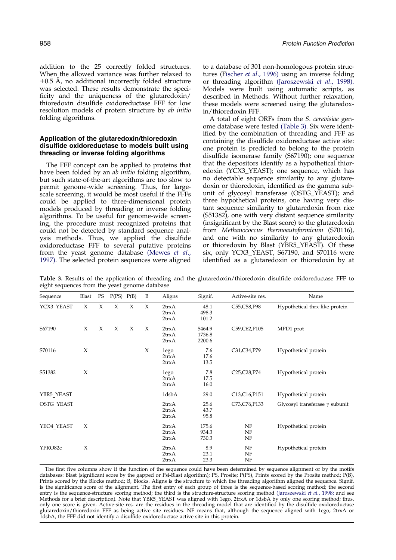<span id="page-9-0"></span>addition to the 25 correctly folded structures. When the allowed variance was further relaxed to  $\pm 0.5$  A, no additional incorrectly folded structure was selected. These results demonstrate the speci ficity and the uniqueness of the glutaredoxin/ thioredoxin disulfide oxidoreductase FFF for low resolution models of protein structure by ab initio folding algorithms.

## Application of the glutaredoxin/thioredoxin disulfide oxidoreductase to models built using threading or inverse folding algorithms

The FFF concept can be applied to proteins that have been folded by an *ab initio* folding algorithm, but such state-of-the-art algorithms are too slow to permit genome-wide screening. Thus, for largescale screening, it would be most useful if the FFFs could be applied to three-dimensional protein models produced by threading or inverse folding algorithms. To be useful for genome-wide screening, the procedure must recognized proteins that could not be detected by standard sequence analysis methods. Thus, we applied the disulfide oxidoreductase FFF to several putative proteins from the yeast genome database [\(Mewes](#page-18-0) et al., [1997\).](#page-18-0) The selected protein sequences were aligned

to a database of 301 non-homologous protein structures [\(Fischer](#page-17-0) et al., 1996) using an inverse folding or threading algorithm [\(Jaroszewski](#page-18-0) et al., 1998). Models were built using automatic scripts, as described in Methods. Without further relaxation, these models were screened using the glutaredoxin/thioredoxin FFF.

A total of eight ORFs from the S. cerevisiae genome database were tested (Table 3). Six were identified by the combination of threading and FFF as containing the disulfide oxidoreductase active site: one protein is predicted to belong to the protein disulfide isomerase family (S67190); one sequence that the depositors identify as a hypothetical thioredoxin (YCX3\_YEAST); one sequence, which has no detectable sequence similarity to any glutaredoxin or thioredoxin, identified as the gamma subunit of glycosyl transferase (OSTG\_YEAST); and three hypothetical proteins, one having very distant sequence similarity to glutaredoxin from rice (S51382), one with very distant sequence similarity (insignificant by the Blast score) to the glutaredoxin from Methanococcus thermoautoformicum (S70116), and one with no similarity to any glutaredoxin or thioredoxin by Blast (YBR5\_YEAST). Of these six, only YCX3\_YEAST, S67190, and S70116 were identified as a glutaredoxin or thioredoxin by at

Table 3. Results of the application of threading and the glutaredoxin/thioredoxin disulfide oxidoreductase FFF to eight sequences from the yeast genome database

| Sequence          | Blast | PS     | P(PS)  | P(B)   | B | Aligns                                    | Signif.                    | Active-site res.                                  | Name                                  |
|-------------------|-------|--------|--------|--------|---|-------------------------------------------|----------------------------|---------------------------------------------------|---------------------------------------|
| YCX3_YEAST        | X     | X      | $\chi$ | X      | X | 2trxA<br>$2$ trx $A$<br>$2$ trx $A$       | 48.1<br>498.3<br>101.2     | C55,C58,P98                                       | Hypothetical thrx-like protein        |
| S67190            | X     | $\chi$ | $\chi$ | $\chi$ | X | $2$ trx $A$<br>$2$ trx $A$<br>$2$ trx $A$ | 5464.9<br>1736.8<br>2200.6 | C59,C62,P105                                      | MPD1 prot                             |
| S70116            | X     |        |        |        | X | 1ego<br>$2$ trx $A$<br>$2$ trx $A$        | 7.6<br>17.6<br>13.5        | C31,C34,P79                                       | Hypothetical protein                  |
| S51382            | X     |        |        |        |   | 1ego<br>$2$ trx $A$<br>$2$ trx $A$        | 7.8<br>17.5<br>16.0        | C <sub>25</sub> ,C <sub>28</sub> ,P <sub>74</sub> | Hypothetical protein                  |
| YBR5 YEAST        |       |        |        |        |   | 1dsbA                                     | 29.0                       | C13,C16,P151                                      | Hypothetical protein                  |
| <b>OSTG_YEAST</b> |       |        |        |        |   | $2$ trx $A$<br>$2$ trx $A$<br>$2$ trx $A$ | 25.6<br>43.7<br>95.8       | C73, C76, P133                                    | Glycosyl transferase $\gamma$ subunit |
| YEO4_YEAST        | X     |        |        |        |   | $2$ trx $A$<br>2trxA<br>$2$ trx $A$       | 175.6<br>934.3<br>730.3    | NF<br>NF<br>NF                                    | Hypothetical protein                  |
| YPRO82c           | X     |        |        |        |   | $2$ trx $A$<br>$2$ trx $A$<br>2trxA       | 8.9<br>23.1<br>23.3        | NF<br>NF<br>NF                                    | Hypothetical protein                  |

The first five columns show if the function of the sequence could have been determined by sequence alignment or by the motifs databases: Blast (significant score by the gapped or Psi-Blast algorithm); PS, Prosite; P(PS), Prints scored by the Prosite method; P(B), Prints scored by the Blocks method; B, Blocks. Aligns is the structure to which the threading algorithm aligned the sequence. Signif. is the significance score of the alignment. The first entry of each group of three is the sequence-based scoring method; the second entry is the sequence-structure scoring method; the third is the structure-structure scoring method [\(Jaroszewski](#page-18-0) et al., 1998; and see Methods for a brief description). Note that YBR5\_YEAST was aligned with 1ego, 2trxA or 1dsbA by only one scoring method; thus, only one score is given. Active-site res. are the residues in the threading model that are identified by the disulfide oxidoreductase glutaredoxin/thioredoxin FFF as being active site residues. NF means that, although the sequence aligned with 1ego, 2trxA or ldsbA, the FFF did not identify a disulfide oxidoreductase active site in this protein.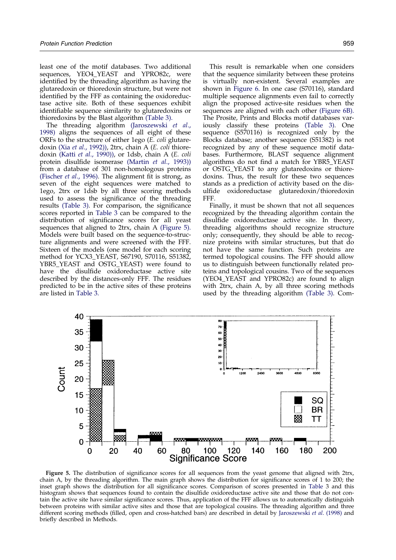<span id="page-10-0"></span>least one of the motif databases. Two additional sequences, YEO4\_YEAST and YPRO82c, were identified by the threading algorithm as having the glutaredoxin or thioredoxin structure, but were not identified by the FFF as containing the oxidoreductase active site. Both of these sequences exhibit identifiable sequence similarity to glutaredoxins or thioredoxins by the Blast algorithm [\(Table](#page-9-0) 3).

The threading algorithm [\(Jaroszewski](#page-18-0) et al., [1998\)](#page-18-0) aligns the sequences of all eight of these ORFs to the structure of either 1ego (E. coli glutaredoxin (Xia et al., [1992\)\),](#page-19-0) 2trx, chain A (E. coli thioredoxin (Katti et al., [1990\)\),](#page-18-0) or 1dsb, chain A (E. coli protein disulfide isomerase [\(Martin](#page-18-0) et al., 1993)) from a database of 301 non-homologous proteins [\(Fischer](#page-17-0) *et al.*, 1996). The alignment fit is strong, as seven of the eight sequences were matched to 1ego, 2trx or 1dsb by all three scoring methods used to assess the significance of the threading results [\(Table](#page-9-0) 3). For comparison, the significance scores reported in [Table](#page-9-0) 3 can be compared to the distribution of significance scores for all yeast sequences that aligned to 2trx, chain A (Figure 5). Models were built based on the sequence-to-structure alignments and were screened with the FFF. Sixteen of the models (one model for each scoring method for YCX3\_YEAST, S67190, S70116, S51382, YBR5\_YEAST and OSTG\_YEAST) were found to have the disulfide oxidoreductase active site described by the distances-only FFF. The residues predicted to be in the active sites of these proteins are listed in [Table](#page-9-0) 3.

This result is remarkable when one considers that the sequence similarity between these proteins is virtually non-existent. Several examples are shown in [Figure](#page-11-0) 6. In one case (S70116), standard multiple sequence alignments even fail to correctly align the proposed active-site residues when the sequences are aligned with each other [\(Figure](#page-11-0) 6B). The Prosite, Prints and Blocks motif databases variously classify these proteins [\(Table](#page-9-0) 3). One sequence (S570116) is recognized only by the Blocks database; another sequence (S51382) is not recognized by any of these sequence motif databases. Furthermore, BLAST sequence alignment algorithms do not find a match for YBR5\_YEAST or OSTG\_YEAST to any glutaredoxins or thioredoxins. Thus, the result for these two sequences stands as a prediction of activity based on the disulfide oxidoreductase glutaredoxin/thioredoxin FFF.

Finally, it must be shown that not all sequences recognized by the threading algorithm contain the disulfide oxidoreductase active site. In theory, threading algorithms should recognize structure only; consequently, they should be able to recognize proteins with similar structures, but that do not have the same function. Such proteins are termed topological cousins. The FFF should allow us to distinguish between functionally related proteins and topological cousins. Two of the sequences (YEO4\_YEAST and YPRO82c) are found to align with 2trx, chain A, by all three scoring methods used by the threading algorithm [\(Table](#page-9-0) 3). Com-



Figure 5. The distribution of significance scores for all sequences from the yeast genome that aligned with 2trx, chain A, by the threading algorithm. The main graph shows the distribution for significance scores of 1 to 200; the inset graph shows the distribution for all significance scores. Comparison of scores presented in [Table](#page-9-0) 3 and this histogram shows that sequences found to contain the disulfide oxidoreductase active site and those that do not contain the active site have similar significance scores. Thus, application of the FFF allows us to automatically distinguish between proteins with similar active sites and those that are topological cousins. The threading algorithm and three different scoring methods (filled, open and cross-hatched bars) are described in detail by [Jaroszewski](#page-18-0) et al. (1998) and briefly described in Methods.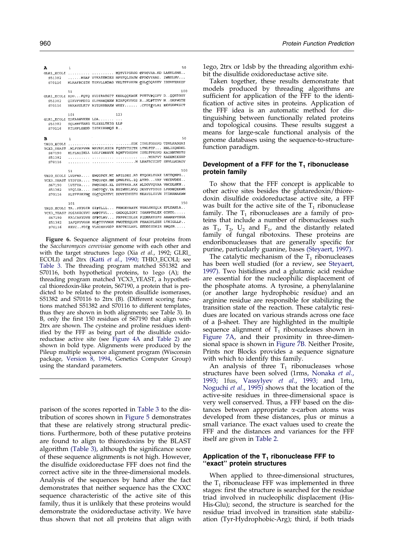<span id="page-11-0"></span> $\overline{\mathbf{A}}$  $\overline{1}$ 50  $\ldots \ldots \ldots$  MQTVIFGRSG CPYCVRA.KD LAEKLSNE.. GLR1  $ECOLI$  ........  $551382$ MSAF VTKAEEMIKS HPYFOLSASW CPDCVYANS. IWNKLNV.. MLRAFRCSIH TSRVLLHDAG VKLTFFSKPN CGLCDQAKEV IDDVFERKEF S70116  $100$ GLR1\_ECOLI RDD...FQYQ YVDIRAEGIT KEDLQQKAGK PVETVPQIFV D..QQHIGGY QDKVFVFDIG SLPRNEQEKW RIAFQKVVGS R. . NLPTIVV N. . GKFWGTE  $551382$ HNKAVSLEIV NITDRRNAKW WKEY...... . CFDIPVLHI EKVGDPKSCT S70116 123  $\mathtt{GLR1\_ECOLI}$ TDFAAWVKEN LDA. SOLHRFEAKG TLEEELTKIG LLP S51382 KILHFLEEDD ISDKIRRMQS R. S70116 50 R  $\mathbf{1}$ THIO ECOLI ......... .... $S$ DK IIHLTDDSFD TDVLKADGAI ..................................SDK IIHLTDDSFD TDVLKADGAI<br>MLFYKPVMR MAVRPLKSIR FQSSYTSITK LTNLTEF... RNLIKQNDKL. YCX3\_YEAST MLFLNIIKLL LGLFIMNEVK AQNFYDSDPH ISELTPKSFD KAIHNTNYTS ...MSAFVT KAEEMIKSHE S51382 S70116 .......... .......... ........... M LRAFRCSIHT SRVLLHDAGV 100 THIO\_ECOLI LVDFWA.... EWCGPCK.MI APILDEI.AD EYQGKLTVAK LNIDQNPG.. YCX3\_YEAST VIDFYA.... TWCGPCK.MM QPHLTKL.IQ AYPD...VRF VKCDVDES.. LVEFYA.... PWCGHCK.KL SSTFRKA.AK RLDGVVQVAA VNCDLNKN. S67190 YFQLSA.... SWCPDCV.YA NSIWNKLNVQ DKVFVFDIGS LPRNEQEKWR<br>KLTFFSKPNC GLCDQAKEVI DDVFERKEFH NKAVSLEIVN ITDRRNAKWW S51382 \$70116 THIO\_ECOLI TA..PKYGIR GIPTLLL... FKNGEVAATK VGALSKGQLK EFLDANLA.. YCX3\_YEAST PDIAKECEVT AMPTFVL... GKDGQLIGKI IGANPTALEK GIKDL. FALCARYDVN GFFTLMV... FRPPKIDLSK PIDNAKKSFS AHANEVYSGA<br>IAFOKVVGSR NLPTLMV... FRPPKIDLSK PIDNAKKSFS AHANEVYSGA<br>IAFOKVVGSR NLPTLVVNGK FWGTESOLHR FEAKGTLEEE LTKIGLLP.. S67190 \$51382 KEYC..FDIP VLHIEKVGDP KSCTKILHFL EEDDISDKIR RMQSR.... S70116

Figure 6. Sequence alignment of four proteins from the Saccharomyces cerevisiae genome with each other and with the target structures 1ego (Xia et al., 1992; GLRl\_ ECOLI) and 2trx [\(Katti](#page-18-0) et al., 1990; THIO ECOLI; see [Table](#page-9-0) 3. The threading program matched S51382 and S70116, both hypothetical proteins, to 1ego (A); the threading program matched YCX3\_YEAST, a hypothetical thioredoxin-like protein, S67190, a protein that is predicted to be related to the protein disulfide isomerases, S51382 and S70116 to 2trx (B). (Different scoring functions matched S51382 and S70116 to different templates, thus they are shown in both alignments; see Table 3). In B, only the first 150 residues of  $S67190$  that align with 2trx are shown. The cysteine and proline residues identified by the FFF as being part of the disulfide oxidoreductase active site (see [Figure](#page-7-0) 4A and [Table](#page-8-0) 2) are shown in bold type. Alignments were produced by the Pileup multiple sequence alignment program (Wisconsin package, [Version](#page-18-0) 8, 1994, Genetics Computer Group) using the standard parameters.

parison of the scores reported in [Table](#page-9-0) 3 to the distribution of scores shown in [Figure](#page-10-0) 5 demonstrates that these are relatively strong structural predictions. Furthermore, both of these putative proteins are found to align to thioredoxins by the BLAST algorithm [\(Table](#page-9-0) 3), although the significance score of these sequence alignments is not high. However, the disulfide oxidoreductase FFF does not find the correct active site in the three-dimensional models. Analysis of the sequences by hand after the fact demonstrates that neither sequence has the CXXC sequence characteristic of the active site of this family, thus it is unlikely that these proteins would demonstrate the oxidoreductase activity. We have thus shown that not all proteins that align with

1ego, 2trx or 1dsb by the threading algorithm exhibit the disulfide oxidoreductase active site.

Taken together, these results demonstrate that models produced by threading algorithms are sufficient for application of the FFF to the identification of active sites in proteins. Application of the FFF idea is an automatic method for distinguishing between functionally related proteins and topological cousins. These results suggest a means for large-scale functional analysis of the genome databases using the sequence-to-structurefunction paradigm.

## Development of a FFF for the  $T_1$  ribonuclease protein family

To show that the FFF concept is applicable to other active sites besides the glutaredoxin/thioredoxin disulfide oxidoreductase active site, a FFF was built for the active site of the  $T_1$  ribonuclease family. The  $T_1$  ribonucleases are a family of proteins that include a number of ribonucleases such as  $T_1$ ,  $T_2$ ,  $U_2$  and  $F_1$ , and the distantly related family of fungal ribotoxins. These proteins are endoribonucleases that are generally specific for purine, particularly guanine, bases [\(Steyaert,](#page-18-0) 1997).

The catalytic mechanism of the  $T_1$  ribonucleases has been well studied (for a review, see [Steyaert,](#page-18-0) [1997\).](#page-18-0) Two histidines and a glutamic acid residue are essential for the nucleophilic displacement of the phosphate atoms. A tyrosine, a phenylalanine (or another large hydrophobic residue) and an arginine residue are responsible for stabilizing the transition state of the reaction. These catalytic residues are located on various strands across one face of a  $\beta$ -sheet. They are highlighted in the multiple sequence alignment of  $T_1$  ribonucleases shown in [Figure](#page-12-0) 7A, and their proximity in three-dimensional space is shown in [Figure](#page-12-0) 7B. Neither Prosite, Prints nor Blocks provides a sequence signature with which to identify this family.

An analysis of three  $T_1$  ribonucleases whose structures have been solved (1rms, [Nonaka](#page-18-0) et al., [1993;](#page-18-0) 1fus, [Vassylyev](#page-18-0) et al., 1993; and 1rtu, [Noguchi](#page-18-0) et al., 1995) shows that the location of the active-site residues in three-dimensional space is very well conserved. Thus, a FFF based on the distances between appropriate  $\alpha$ -carbon atoms was developed from these distances, plus or minus a small variance. The exact values used to create the FFF and the distances and variances for the FFF itself are given in [Table](#page-8-0) 2.

#### Application of the  $T_1$  ribonuclease FFF to "exact" protein structures

When applied to three-dimensional structures, the  $T_1$  ribonuclease FFF was implemented in three stages: first the structure is searched for the residue triad involved in nucleophilic displacement (His-His-Glu); second, the structure is searched for the residue triad involved in transition state stabilization (Tyr-Hydrophobic-Arg); third, if both triads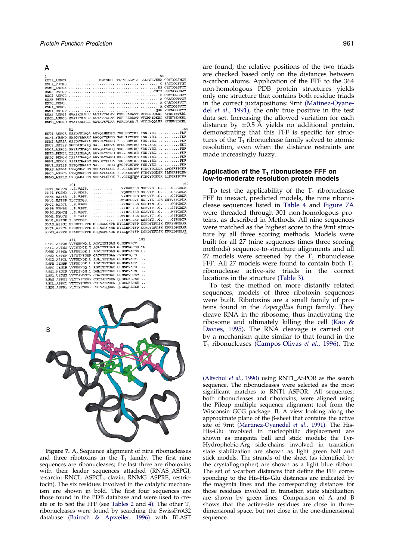<span id="page-12-0"></span> $\overline{A}$ 

182<br>RNT1\_ASPOR VVFNENNQ.L AGVITHTGAS G.NNFVECT. ..<br>RNF1\_FUSMO VVINTNCE.Y AGAITHTGAS G.NNFVGCSG TN RNTI\_ASPOR WYNENNO, LAGVITHTGAS G.NNFVECT.<br>
RNTI\_ASPOR WYNENNO, LAGVITHTGAS G.NNFVECT.<br>
RNTI\_FUSMO VVINTNCE.Y AGAITHTGAS G.DDFVACSS TR<br>
RNMS\_ASPSA VIFNIODE.LAGVITHTGAS G.DDFVACSS S.<br>
RNG2\_JSTSP VIYOTNIGER CATVTHTGAS G.DDFV RNCL\_ASPCL VIYTYPNKVF CGIVANTREN Q.GDLKLCSH<br>RNMG\_ASPCL VIYTYPNKVF CGIVANQRGN Q.GDLRLCSH

 $10<sub>0</sub>$ 

150



Figure 7. A, Sequence alignment of nine ribonucleases and three ribotoxins in the  $T_1$  family. The first nine sequences are ribonucleases; the last three are ribotoxins with their leader sequences attached (RNAS\_ASPGI, a-sarcin; RNCL\_ASPCL, clavin; RNMG\_ASPRE, restrictocin). The six residues involved in the catalytic mechanism are shown in bold. The first four sequences are those found in the PDB database and were used to cre-ate or to test the FFF (see [Tables](#page-8-0) 2 and [4\).](#page-13-0) The other  $T_1$ ribonucleases were found by searching the SwissProt32 database (Bairoch & [Apweiler,](#page-17-0) 1996) with BLAST

are found, the relative positions of the two triads are checked based only on the distances between a-carbon atoms. Application of the FFF to the 364 non-homologous PDB protein structures yields only one structure that contains both residue triads in the correct juxtapositions: 9rnt [\(Matinez-Oyane](#page-18-0)del *et al.*, [1991\),](#page-18-0) the only true positive in the test data set. Increasing the allowed variation for each distance by  $\pm 0.5$  Å yields no additional protein, demonstrating that this FFF is specific for structures of the  $T_1$  ribonuclease family solved to atomic resolution, even when the distance restraints are made increasingly fuzzy.

#### Application of the  $T_1$  ribonuclease FFF on low-to-moderate resolution protein models

To test the applicability of the  $T_1$  ribonuclease FFF to inexact, predicted models, the nine ribonuclease sequences listed in [Table](#page-13-0) 4 and Figure 7A were threaded through 301 non-homologous proteins, as described in Methods. All nine sequences were matched as the highest score to the 9rnt structure by all three scoring methods. Models were built for all 27 (nine sequences times three scoring methods) sequence-to-structure alignments and all 27 models were screened by the  $T_1$  ribonuclease FFF. All 27 models were found to contain both  $T_1$ ribonuclease active-site triads in the correct locations in the structure [\(Table](#page-9-0) 3).

To test the method on more distantly related sequences, models of three ribotoxin sequences were built. Ribotoxins are a small family of proteins found in the Aspergillus fungi family. They cleave RNA in the ribosome, thus inactivating the ribosome and ultimately killing the cell [\(Kao](#page-18-0) & [Davies,](#page-18-0) 1995). The RNA cleavage is carried out by a mechanism quite similar to that found in the  $T_1$  ribonucleases [\(Campos-Olivas](#page-17-0) et al., 1996). The

[\(Altschul](#page-16-0) et al., 1990) using RNT1\_ASPOR as the search sequence. The ribonucleases were selected as the most significant matches to RNT1\_ASPOR. All sequences, both ribonucleases and ribotoxins, were aligned using the Pileup multiple sequence alignment tool from the Wisconsin GCG package. B, A view looking along the approximate plane of the  $\beta$ -sheet that contains the active site of 9rnt [\(Martinez-Oyanedel](#page-18-0) et al., 1991). The His-His-Glu involved in nucleophilic displacement are shown as magenta ball and stick models; the Tyr-Hydrophobic-Arg side-chains involved in transition state stabilization are shown as light green ball and stick models. The strands of the sheet (as identified by the crystallographer) are shown as a light blue ribbon. The set of  $\alpha$ -carbon distances that define the FFF corresponding to the His-His-Glu distances are indicated by the magenta lines and the corresponding distances for those residues involved in transition state stabilization are shown by green lines. Comparison of A and B shows that the active-site residues are close in threedimensional space, but not close in the one-dimensional sequence.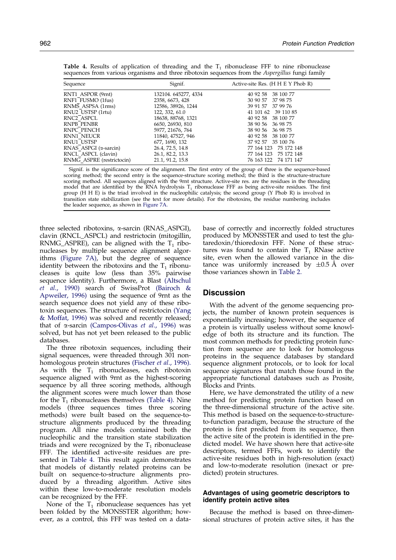Sequence Signif. Signif. Active-site Res. (H H E Y Phob R) RNT1\_ASPOR (9rnt) 132104. 645277, 4334 40 92 58 38 100 77 RNF1\_FUSMO (1fus) 2358, 6673, 428 30 90 57 37 98 75 RNMS ASPSA (1rms) 12586, 38926, 1244 39 91 57 37 99 76<br>RNU2 USTSP (1rtu) 122, 332, 61.0 41 101 62 39 110 85 RNU2 USTSP (1rtu) 122, 332, 61.0 41 101 62 39 110 85 RNC2\_ASPCL 18638, 88768, 1321 40 92 58 38 100 77 RNPB\_PENBR 6650, 26930, 810 38 90 56 36 98 75<br>
RNPC\_PENCH 5977, 21676, 764 38 90 56 36 98 75<br>
RNN1\_NEUCR 11840, 47527, 946 40 92 58 38 100 7 81 5977, 21676, 764 38 90 56 36 98 75<br>11840, 47527, 946 40 92 58 38 100 7 11840, 47527, 946 40 92 58 38 100 77<br>677, 1690, 132 37 92 57 35 100 76 RNU1 USTSP 677, 1690, 132 37 92 57 35 100 76 RNAS ASPGI (a-sarcin) 26.4, 72.5, 14.8 77 164 123 75 172 148 RNCL ASPCL (clavin) 26.1, 82.2, 13.3 77 164 123 75 172 148 RNMG ASPRE (restrictocin) 21.1, 91.2, 15.8 76 163 122 74 171 147

<span id="page-13-0"></span>Table 4. Results of application of threading and the  $T_1$  ribonuclease FFF to nine ribonuclease sequences from various organisms and three ribotoxin sequences from the Aspergillus fungi family

Signif. is the significance score of the alignment. The first entry of the group of three is the sequence-based scoring method; the second entry is the sequence-structure scoring method; the third is the structure-structure scoring method. All sequences aligned with the 9rnt structure. Active-site res. are the residues in the threading model that are identified by the RNA hydrolysis  $T_1$  ribonuclease FFF as being active-site residues. The first group (H H E) is the triad involved in the nucleophilic catalysis; the second group (Y Phob R) is involved in transition state stabilization (see the text for more details). For the ribotoxins, the residue numbering includes the leader sequence, as shown in [Figure](#page-12-0) 7A.

three selected ribotoxins, a-sarcin (RNAS\_ASPGI), clavin (RNCL\_ASPCL) and restrictocin (mitogillin, RNMG\_ASPRE), can be aligned with the  $T_1$  ribonucleases by multiple sequence alignment algorithms [\(Figure](#page-12-0) 7A), but the degree of sequence identity between the ribotoxins and the  $T_1$  ribonucleases is quite low (less than 35% pairwise sequence identity). Furthermore, a Blast [\(Altschul](#page-16-0) et al., [1990\)](#page-16-0) search of SwissProt [\(Bairoch](#page-16-0) & [Apweiler,](#page-16-0) 1996) using the sequence of 9rnt as the search sequence does not yield any of these ribotoxin sequences. The structure of restrictocin [\(Yang](#page-19-0) & [Moffat,](#page-19-0) 1996) was solved and recently released; that of  $\alpha$ -sarcin [\(Campos-Olivas](#page-17-0) *et al.*, 1996) was solved, but has not yet been released to the public databases.

The three ribotoxin sequences, including their signal sequences, were threaded through 301 nonhomologous protein structures [\(Fischer](#page-17-0) et al., 1996). As with the  $T_1$  ribonucleases, each ribotoxin sequence aligned with 9rnt as the highest-scoring sequence by all three scoring methods, although the alignment scores were much lower than those for the  $T_1$  ribonucleases themselves (Table 4). Nine models (three sequences times three scoring methods) were built based on the sequence-tostructure alignments produced by the threading program. All nine models contained both the nucleophilic and the transition state stabilization triads and were recognized by the  $T_1$  ribonuclease FFF. The identified active-site residues are presented in Table 4. This result again demonstrates that models of distantly related proteins can be built on sequence-to-structure alignments produced by a threading algorithm. Active sites within these low-to-moderate resolution models can be recognized by the FFF.

None of the  $T_1$  ribonuclease sequences has yet been folded by the MONSSTER algorithm; however, as a control, this FFF was tested on a database of correctly and incorrectly folded structures produced by MONSSTER and used to test the glutaredoxin/thioredoxin FFF. None of these structures was found to contain the  $T_1$  RNase active site, even when the allowed variance in the distance was uniformly increased by  $\pm 0.5$  Å over those variances shown in [Table](#page-8-0) 2.

## **Discussion**

With the advent of the genome sequencing projects, the number of known protein sequences is exponentially increasing; however, the sequence of a protein is virtually useless without some knowledge of both its structure and its function. The most common methods for predicting protein function from sequence are to look for homologous proteins in the sequence databases by standard sequence alignment protocols, or to look for local sequence signatures that match those found in the appropriate functional databases such as Prosite, Blocks and Prints.

Here, we have demonstrated the utility of a new method for predicting protein function based on the three-dimensional structure of the active site. This method is based on the sequence-to-structureto-function paradigm, because the structure of the protein is first predicted from its sequence, then the active site of the protein is identified in the predicted model. We have shown here that active-site descriptors, termed FFFs, work to identify the active-site residues both in high-resolution (exact) and low-to-moderate resolution (inexact or predicted) protein structures.

#### Advantages of using geometric descriptors to identify protein active sites

Because the method is based on three-dimensional structures of protein active sites, it has the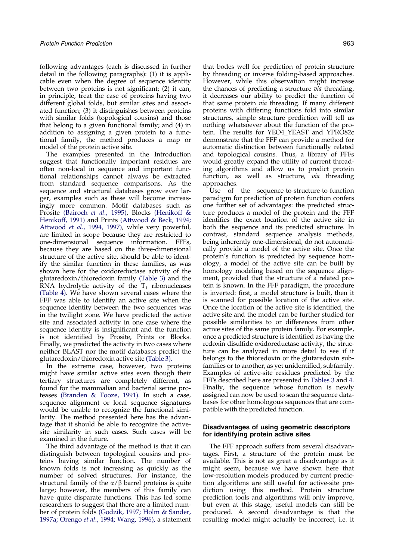following advantages (each is discussed in further detail in the following paragraphs): (1) it is applicable even when the degree of sequence identity between two proteins is not significant; (2) it can, in principle, treat the case of proteins having two different global folds, but similar sites and associated function; (3) it distinguishes between proteins with similar folds (topological cousins) and those that belong to a given functional family; and (4) in addition to assigning a given protein to a functional family, the method produces a map or model of the protein active site.

The examples presented in the Introduction suggest that functionally important residues are often non-local in sequence and important functional relationships cannot always be extracted from standard sequence comparisons. As the sequence and structural databases grow ever larger, examples such as these will become increasingly more common. Motif databases such as Prosite [\(Bairoch](#page-16-0) et al., 1995), Blocks [\(Henikoff](#page-17-0) & [Henikoff,](#page-17-0) 1991) and Prints [\(Attwood](#page-16-0) & Beck, 1994; [Attwood](#page-16-0) et al., 1994, 1997), while very powerful, are limited in scope because they are restricted to one-dimensional sequence information. FFFs, because they are based on the three-dimensional structure of the active site, should be able to identify the similar function in these families, as was shown here for the oxidoreductase activity of the glutaredoxin/thioredoxin family [\(Table](#page-9-0) 3) and the  $\overline{R}NA$  hydrolytic activity of the T<sub>1</sub> ribonucleases [\(Table](#page-13-0) 4). We have shown several cases where the FFF was able to identify an active site when the sequence identity between the two sequences was in the twilight zone. We have predicted the active site and associated activity in one case where the sequence identity is insignificant and the function is not identified by Prosite, Prints or Blocks. Finally, we predicted the activity in two cases where neither BLAST nor the motif databases predict the glutaredoxin/thioredoxin active site [\(Table](#page-9-0) 3).

In the extreme case, however, two proteins might have similar active sites even though their tertiary structures are completely different, as found for the mammalian and bacterial serine proteases [\(Branden](#page-17-0) & Tooze, 1991). In such a case, sequence alignment or local sequence signatures would be unable to recognize the functional similarity. The method presented here has the advantage that it should be able to recognize the activesite similarity in such cases. Such cases will be examined in the future.

The third advantage of the method is that it can distinguish between topological cousins and proteins having similar function. The number of known folds is not increasing as quickly as the number of solved structures. For instance, the structural family of the  $\alpha/\beta$  barrel proteins is quite large; however, the members of this family can have quite disparate functions. This has led some researchers to suggest that there are a limited number of protein folds [\(Godzik,](#page-17-0) 1997; Holm & [Sander,](#page-17-0) [1997a;](#page-17-0) [Orengo](#page-18-0) et al., 1994; [Wang,](#page-19-0) 1996), a statement

that bodes well for prediction of protein structure by threading or inverse folding-based approaches. However, while this observation might increase the chances of predicting a structure *via* threading, it decreases our ability to predict the function of that same protein *via* threading. If many different proteins with differing functions fold into similar structures, simple structure prediction will tell us nothing whatsoever about the function of the protein. The results for YEO4\_YEAST and YPRO82c demonstrate that the FFF can provide a method for automatic distinction between functionally related and topological cousins. Thus, a library of FFFs would greatly expand the utility of current threading algorithms and allow us to predict protein function, as well as structure, via threading approaches.

Use of the sequence-to-structure-to-function paradigm for prediction of protein function confers one further set of advantages: the predicted structure produces a model of the protein and the FFF identifies the exact location of the active site in both the sequence and its predicted structure. In contrast, standard sequence analysis methods, being inherently one-dimensional, do not automatically provide a model of the active site. Once the protein's function is predicted by sequence homology, a model of the active site can be built by homology modeling based on the sequence alignment, provided that the structure of a related protein is known. In the FFF paradigm, the procedure is inverted: first, a model structure is built, then it is scanned for possible location of the active site. Once the location of the active site is identified, the active site and the model can be further studied for possible similarities to or differences from other active sites of the same protein family. For example, once a predicted structure is identified as having the redoxin disulfide oxidoreductase activity, the structure can be analyzed in more detail to see if it belongs to the thioredoxin or the glutaredoxin subfamilies or to another, as yet unidentified, subfamily. Examples of active-site residues predicted by the FFFs described here are presented in [Tables](#page-8-0) 3 and [4.](#page-9-0) Finally, the sequence whose function is newly assigned can now be used to scan the sequence databases for other homologous sequences that are compatible with the predicted function.

## Disadvantages of using geometric descriptors for identifying protein active sites

The FFF approach suffers from several disadvantages. First, a structure of the protein must be available. This is not as great a disadvantage as it might seem, because we have shown here that low-resolution models produced by current prediction algorithms are still useful for active-site prediction using this method. Protein structure prediction tools and algorithms will only improve, but even at this stage, useful models can still be produced. A second disadvantage is that the resulting model might actually be incorrect, i.e. it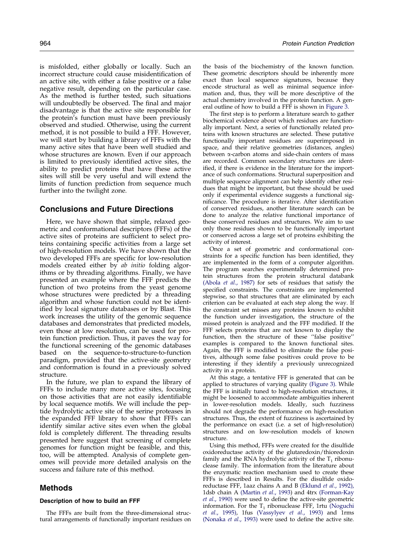is misfolded, either globally or locally. Such an incorrect structure could cause misidentification of an active site, with either a false positive or a false negative result, depending on the particular case. As the method is further tested, such situations will undoubtedly be observed. The final and major disadvantage is that the active site responsible for the protein's function must have been previously observed and studied. Otherwise, using the current method, it is not possible to build a FFF. However, we will start by building a library of FFFs with the many active sites that have been well studied and whose structures are known. Even if our approach is limited to previously identified active sites, the ability to predict proteins that have these active sites will still be very useful and will extend the limits of function prediction from sequence much further into the twilight zone.

# Conclusions and Future Directions

Here, we have shown that simple, relaxed geometric and conformational descriptors (FFFs) of the active sites of proteins are sufficient to select proteins containing specific activities from a large set of high-resolution models. We have shown that the two developed FFFs are specific for low-resolution models created either by ab initio folding algorithms or by threading algorithms. Finally, we have presented an example where the FFF predicts the function of two proteins from the yeast genome whose structures were predicted by a threading algorithm and whose function could not be identified by local signature databases or by Blast. This work increases the utility of the genomic sequence databases and demonstrates that predicted models, even those at low resolution, can be used for protein function prediction. Thus, it paves the way for the functional screening of the genomic databases based on the sequence-to-structure-to-function paradigm, provided that the active-site geometry and conformation is found in a previously solved structure.

In the future, we plan to expand the library of FFFs to include many more active sites, focusing on those activities that are not easily identifiable by local sequence motifs. We will include the peptide hydrolytic active site of the serine proteases in the expanded FFF library to show that FFFs can identify similar active sites even when the global fold is completely different. The threading results presented here suggest that screening of complete genomes for function might be feasible, and this, too, will be attempted. Analysis of complete genomes will provide more detailed analysis on the success and failure rate of this method.

# Methods

#### Description of how to build an FFF

The FFFs are built from the three-dimensional structural arrangements of functionally important residues on the basis of the biochemistry of the known function. These geometric descriptors should be inherently more exact than local sequence signatures, because they encode structural as well as minimal sequence information and, thus, they will be more descriptive of the actual chemistry involved in the protein function. A general outline of how to build a FFF is shown in [Figure](#page-6-0) 3.

The first step is to perform a literature search to gather biochemical evidence about which residues are functionally important. Next, a series of functionally related proteins with known structures are selected. These putative functionally important residues are superimposed in space, and their relative geometries (distances, angles) between a-carbon atoms and side-chain centers of mass are recorded. Common secondary structures are identified, if there is evidence in the literature for the importance of such conformations. Structural superposition and multiple sequence alignment can help identify other residues that might be important, but these should be used only if experimental evidence suggests a functional significance. The procedure is iterative. After identification of conserved residues, another literature search can be done to analyze the relative functional importance of these conserved residues and structures. We aim to use only those residues shown to be functionally important or conserved across a large set of proteins exhibiting the activity of interest.

Once a set of geometric and conformational constraints for a specific function has been identified, they are implemented in the form of a computer algorithm. The program searches experimentally determined protein structures from the protein structural databank [\(Abola](#page-16-0) et al., 1987) for sets of residues that satisfy the specified constraints. The constraints are implemented stepwise, so that structures that are eliminated by each criterion can be evaluated at each step along the way. If the constraint set misses any proteins known to exhibit the function under investigation, the structure of the missed protein is analyzed and the FFF modified. If the FFF selects proteins that are not known to display the function, then the structure of these "false positive" examples is compared to the known functional sites. Again, the FFF is modified to eliminate the false positives, although some false positives could prove to be interesting if they identify a previously unrecognized activity in a protein.

At this stage, a tentative FFF is generated that can be applied to structures of varying quality [\(Figure](#page-6-0) 3). While the FFF is initially tuned to high-resolution structures, it might be loosened to accommodate ambiguities inherent in lower-resolution models. Ideally, such fuzziness should not degrade the performance on high-resolution structures. Thus, the extent of fuzziness is ascertained by the performance on exact (i.e. a set of high-resolution) structures and on low-resolution models of known structure.

Using this method, FFFs were created for the disulfide oxidoreductase activity of the glutaredoxin/thioredoxin family and the RNA hydrolytic activity of the  $T_1$  ribonuclease family. The information from the literature about the enzymatic reaction mechanism used to create these FFFs is described in Results. For the disulfide oxidoreductase FFF, 1aaz chains A and B [\(Eklund](#page-17-0) et al., 1992), 1dsb chain A [\(Martin](#page-18-0) et al., 1993) and 4trx [\(Forman-Kay](#page-17-0)  $et al., 1990$ ) were used to define the active-site geometric information. For the  $T_1$  ribonuclease FFF, 1rtu [\(Noguchi](#page-18-0) et al., [1995\),](#page-18-0) 1fus [\(Vassylyev](#page-18-0) et al., 1993) and 1rms [\(Nonaka](#page-18-0) et al., 1993) were used to define the active site.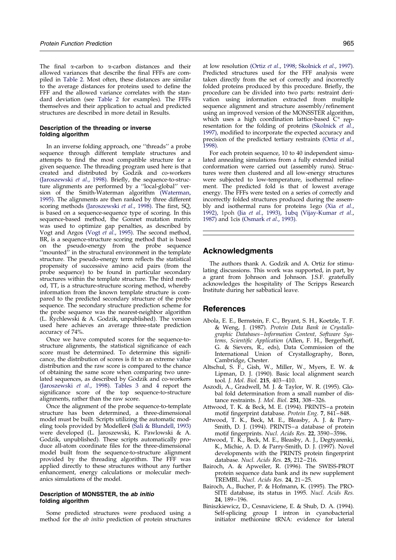<span id="page-16-0"></span>The final  $\alpha$ -carbon to  $\alpha$ -carbon distances and their allowed variances that describe the final FFFs are compiled in [Table](#page-8-0) 2. Most often, these distances are similar to the average distances for proteins used to define the FFF and the allowed variance correlates with the standard deviation (see [Table](#page-8-0) 2 for examples). The FFFs themselves and their application to actual and predicted structures are described in more detail in Results.

#### Description of the threading or inverse folding algorithm

In an inverse folding approach, one "threads" a probe sequence through different template structures and attempts to find the most compatible structure for a given sequence. The threading program used here is that created and distributed by Godzik and co-workers [\(Jaroszewski](#page-18-0) et al., 1998). Briefly, the sequence-to-structure alignments are performed by a "local-global" version of the Smith-Waterman algorithm [\(Waterman,](#page-19-0) [1995\).](#page-19-0) The alignments are then ranked by three different scoring methods [\(Jaroszewski](#page-18-0) et al., 1998). The first, SQ, is based on a sequence-sequence type of scoring. In this sequence-based method, the Gonnet mutation matrix was used to optimize gap penalties, as described by Vogt and Argos (Vogt et al., [1995\).](#page-18-0) The second method, BR, is a sequence-structure scoring method that is based on the pseudo-energy from the probe sequence ``mounted'' in the structural environment in the template structure. The pseudo-energy term reflects the statistical propensity of successive amino acid pairs (from the probe sequence) to be found in particular secondary structures within the template structure. The third method, TT, is a structure-structure scoring method, whereby information from the known template structure is compared to the predicted secondary structure of the probe sequence. The secondary structure prediction scheme for the probe sequence was the nearest-neighbor algorithm (L. Rychlewski & A. Godzik, unpublished). The version used here achieves an average three-state prediction accuracy of 74%.

Once we have computed scores for the sequence-tostructure alignments, the statistical significance of each score must be determined. To determine this significance, the distribution of scores is fit to an extreme value distribution and the raw score is compared to the chance of obtaining the same score when comparing two unrelated sequences, as described by Godzik and co-workers [\(Jaroszewski](#page-18-0) et al., 1998). [Tables](#page-9-0) 3 and [4](#page-13-0) report the significance score of the top sequence-to-structure alignments, rather than the raw score.

Once the alignment of the probe sequence-to-template structure has been determined, a three-dimensional model must be built. Scripts utilizing the automatic modeling tools provided by Modeller4 (Sali & [Blundell,](#page-18-0) 1993) were developed (L. Jaroszewski, K. Pawlowski & A. Godzik, unpublished). These scripts automatically produce all-atom coordinate files for the three-dimensional model built from the sequence-to-structure alignment provided by the threading algorithm. The FFF was applied directly to these structures without any further enhancement, energy calculations or molecular mechanics simulations of the model.

#### Description of MONSSTER, the ab initio folding algorithm

Some predicted structures were produced using a method for the ab initio prediction of protein structures

at low resolution [\(Ortiz](#page-18-0) et al., 1998; [Skolnick](#page-18-0) et al., 1997). Predicted structures used for the FFF analysis were taken directly from the set of correctly and incorrectly folded proteins produced by this procedure. Briefly, the procedure can be divided into two parts: restraint derivation using information extracted from multiple sequence alignment and structure assembly/refinement using an improved version of the MONSSTER algorithm, which uses a high coordination lattice-based  $C^{\alpha}$  rep-resentation for the folding of proteins [\(Skolnick](#page-18-0) et al., [1997\),](#page-18-0) modified to incorporate the expected accuracy and precision of the predicted tertiary restraints [\(Ortiz](#page-18-0) et al., [1998\).](#page-18-0)

For each protein sequence, 10 to 40 independent simulated annealing simulations from a fully extended initial conformation were carried out (assembly runs). Structures were then clustered and all low-energy structures were subjected to low-temperature, isothermal refinement. The predicted fold is that of lowest average energy. The FFFs were tested on a series of correctly and incorrectly folded structures produced during the assembly and isothermal runs for proteins 1ego [\(Xia](#page-19-0) et al., [1992\),](#page-19-0) 1poh (Jia et al., [1993\),](#page-18-0) 1ubq [\(Vijay-Kumar](#page-18-0) et al., [1987\)](#page-18-0) and 1cis [\(Osmark](#page-18-0) et al., 1993).

## Acknowledgments

The authors thank A. Godzik and A. Ortiz for stimulating discussions. This work was supported, in part, by a grant from Johnson and Johnson. J.S.F. gratefully acknowledges the hospitality of The Scripps Research Institute during her sabbatical leave.

## References

- Abola, E. E., Bernstein, F. C., Bryant, S. H., Koetzle, T. F. & Weng, J. (1987). Protein Data Bank in Crystallographic Databases-Information Content, Software Systems, Scientific Application (Allen, F. H., Bergerhoff, G. & Sievers, R., eds), Data Commission of the International Union of Crystallography, Bonn, Cambridge, Chester.
- Altschul, S. F., Gish, W., Miller, W., Myers, E. W. & Lipman, D. J. (1990). Basic local alignment search tool. J. Mol. Biol. 215, 403-410.
- Aszodi, A., Gradwell, M. J. & Taylor, W. R. (1995). Global fold determination from a small number of distance restraints. *J. Mol. Biol.* **251**, 308-326.
- Attwood, T. K. & Beck, M. E. (1994). PRINTS-a protein motif fingerprint database. Protein Eng. 7, 841-848.
- Attwood, T. K., Beck, M. E., Bleasby, A. J. & Parry-Smith, D. J. (1994). PRINTS-a database of protein motif fingerprints. Nucl. Acids Res. 22, 3590-3596.
- Attwood, T. K., Beck, M. E., Bleasby, A. J., Degtyarenki, K., Michie, A. D. & Parry-Smith, D. J. (1997). Novel developments with the PRINTS protein fingerprint database. Nucl. Acids Res. 25, 212-216.
- Bairoch, A. & Apweiler, R. (1996). The SWISS-PROT protein sequence data bank and its new supplement TREMBL. Nucl. Acids Res. **24**, 21–25.
- Bairoch, A., Bucher, P. & Hofmann, K. (1995). The PRO-SITE database, its status in 1995. Nucl. Acids Res. 24, 189-196.
- Biniszkiewicz, D., Cesnaviciene, E. & Shub, D. A. (1994). Self-splicing group I intron in cyanobacterial initiator methionine tRNA: evidence for lateral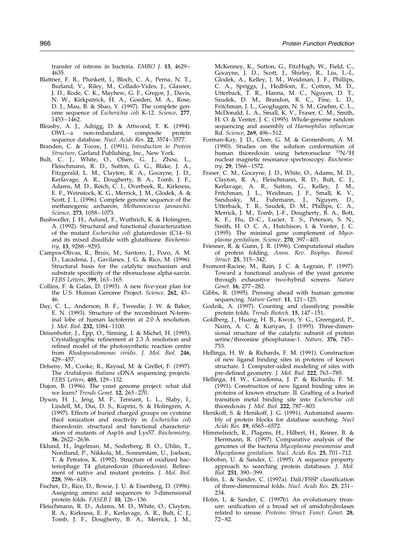<span id="page-17-0"></span>transfer of introns in bacteria. EMBO J. 13, 4629– 4635.

- Blattner, F. R., Plunkett, I., Bloch, C. A., Perna, N. T., Burland, V., Riley, M., Collado-Vides, J., Glasner, J. D., Rode, C. K., Mayhew, G. F., Gregor, J., Davis, N. W., Kirkpatrick, H. A., Goeden, M. A., Rose, D. J., Mau, B. & Shao, Y. (1997). The complete genome sequence of Escherichia coli K-12. Science, 277,  $1453 - 1462.$
- Bleasby, A. J., Adrigg, D. & Attwood, T. K. (1994). OWL-a non-redundant, composite protein sequence database. Nucl. Acids Res. 22, 3574-3577.
- Branden, C. & Tooze, J. (1991). Introduction to Protein Structure, Garland Publishing, Inc., New York.
- Bult, C. J., White, O., Olsen, G. J., Zhou, L., Fleischmann, R. D., Sutton, G. G., Blake, J. A., Fitzgerald, L. M., Clayton, R. A., Gocayne, J. D., Kerlavage, A. R., Dougherty, B. A., Tomb, J. F., Adams, M. D., Reich, C. I., Overbeek, R., Kirkness, E. F., Weinstock, K. G., Merrick, J. M., Glodek, A. & Scott, J. L. (1996). Complete genome sequence of the methanogenic archaeon, Methanococcus jannaschii. Science, 273, 1058-1073.
- Bushweller, J. H., Aslund, F., Wuthrich, K. & Holmgren, A. (1992). Structural and functional characterization of the mutant *Escherichia coli* glutaredoxin (C14-S) and its mixed disulfide with glutathione. Biochemistry, 13, 9288-9293.
- Campos-Olivas, R., Bruix, M., Santoro, J., Pozo, A. M. D., Lacadena, J., Gavilanes, J. G. & Rico, M. (1996). Structural basis for the catalytic mechanism and substrate specificity of the ribonuclease alpha-sarcin. FEBS Letters, 399, 163-165.
- Collins, F. & Galas, D. (1993). A new five-year plan for the U.S. Human Genome Project. Science, 262, 43-46.
- Day, C. L., Anderson, B. F., Tweedie, J. W. & Baker, E. N. (1993). Structure of the recombinant N-terminal lobe of human lactoferrin at  $2.0 \text{ Å}$  resolution. J. Mol. Biol. 232, 1084-1100.
- Deisenhofer, J., Epp, O., Sinning, I. & Michel, H. (1995). Crystallographic refinement at 2.3 Å resolution and refined model of the photosynthetic reaction centre from Rhodopseudomonas viridis. J. Mol. Biol. 246, 429-457.
- Delseny, M., Cooke, R., Raynal, M. & Grellet, F. (1997). The Arabidopsis thaliana cDNA sequencing projects. FEBS Letters, 405, 129-132.
- Dujon, B. (1996). The yeast genome project: what did we learn? Trends Genet. 12, 263-270.
- Dyson, H. J., Jeng, M. F., Tennant, L. L., Slaby, I., Lindell, M., Dui, D. S., Kuprin, S. & Holmgren, A. (1997). Effects of buried charged groups on cysteine thiol ionization and reactivity in Escherichia coli thioredoxin: structural and functional characterization of mutants of Asp16 and Lys57. Biochemistry,  $36.2622 - 2636.$
- Eklund, H., Ingelman, M., Soderberg, B. O., Uhlin, T., Nordlund, P., Nikkola, M., Sonnerstam, U., Joelson, T. & Petratos, K. (1992). Structure of oxidized bacteriophage T4 glutaredoxin (thioredoxin). Refinement of native and mutant proteins. J. Mol. Biol. 228, 596-618.
- Fischer, D., Rice, D., Bowie, J. U. & Eisenberg, D. (1996). Assigning amino acid sequences to 3-dimensional protein folds. FASEB J. 10, 126-136.
- Fleischmann, R. D., Adams, M. D., White, O., Clayton, R. A., Kirkness, E. F., Kerlavage, A. R., Bult, C. J., Tomb, J. F., Dougherty, B. A., Merrick, J. M.,

McKenney, K., Sutton, G., FitzHugh, W., Field, C., Gocayne, J. D., Scott, J., Shirley, R., Liu, L.-I., Glodek, A., Kelley, J. M., Weidman, J. F., Phillips, C. A., Spriggs, J., Hedblom, E., Cotton, M. D., Utterback, T. R., Hanna, M. C., Nguyen, D. T., Saudek, D. M., Brandon, R. C., Fine, L. D., Fritchman, J. L., Geoghagen, N. S. M., Gnehm, C. L., McDonald, L. A., Small, K. V., Fraser, C. M., Smith, H. O. & Venter, J. C. (1995). Whole-genome random sequencing and assembly of Haemophilus influenzae Rd. Science, 269, 496-512.

- Forman-Kay, J. D., Clore, G. M. & Gronenborn, A. M. (1990). Studies on the solution conformation of human thioredoxin using heteronuclear <sup>15</sup>N-<sup>1</sup>H nuclear magnetic resonance spectroscopy. Biochemis $try. 29. 1566 - 1572.$
- Fraser, C. M., Gocayne, J. D., White, O., Adams, M. D., Clayton, R. A., Fleischmann, R. D., Bult, C. J., Kerlavage, A. R., Sutton, G., Kelley, J. M., Fritchman, J. L., Weidman, J. F., Small, K. V., Sandusky, M., Fuhrmann, J., Nguyen, D., Utterback, T. R., Saudek, D. M., Phillips, C. A., Merrick, J. M., Tomb, J.-F., Dougherty, B. A., Bott, K. F., Hu, D.-C., Lucier, T. S., Peterson, S. N., Smith, H. O. C. A., Hutchison, I. & Venter, J. C. (1995). The minimal gene complement of  $Myco$ plasma genitalium. Science,  $270$ ,  $397-403$ .
- Friesner, R. & Gunn, J. R. (1996). Computational studies of protein folding. Annu. Rev. Biophys. Biomol. Struct. 25, 315-342.
- Fromont-Racine, M., Rain, J. C. & Legrain, P. (1997). Toward a functional analysis of the yeast genome through exhaustive two-hybrid screens. Nature Genet. 16, 277-282.
- Gibbs, R. (1995). Pressing ahead with human genome sequencing. Nature Genet. 11, 121-125.
- Godzik, A. (1997). Counting and classifying possible protein folds. Trends Biotech. 15, 147-151.
- Goldberg, J., Huang, H. B., Kwon, Y. G., Greengard, P., Nairn, A. C. & Kuriyan, J. (1995). Three-dimensional structure of the catalytic subunit of protein serine/threonine phosphatase-1. Nature, 376, 745-753.
- Hellinga, H. W. & Richards, F. M. (1991). Construction of new ligand binding sites in proteins of known structure. I. Computer-aided modeling of sites with pre-defined geometry. J. Mol. Biol. 222, 763-785.
- Hellinga, H. W., Caradonna, J. P. & Richards, F. M. (1991). Construction of new ligand binding sites in proteins of known structure. II. Grafting of a buried transition metal binding site into Escherichia coli thioredoxin. J. Mol. Biol. 222, 787-803.
- Henikoff, S. & Henikoff, J. G. (1991). Automated assembly of protein blocks for database searching. Nucl Acids Res. 19, 6565-6572.
- Himmelreich, R., Plagens, H., Hilbert, H., Reiner, B. & Herrmann, R. (1997). Comparative analysis of the genomes of the bacteria Mycoplasma pneumoniae and Mycoplasma genitalium. Nucl. Acids Res. 25, 701-712.
- Hobohm, U. & Sander, C. (1995). A sequence property approach to searching protein databases. J. Mol.  $B$ *iol*. **251**, 390 $-$ 399.
- Holm, L. & Sander, C. (1997a). Dali/FSSP classification of three-dimensional folds. Nucl. Acids Res. 25, 231-234.
- Holm, L. & Sander, C. (1997b). An evolutionary treasure: unification of a broad set of amidohydrolases related to urease. Proteins: Struct. Funct. Genet. 28,  $72 - 82.$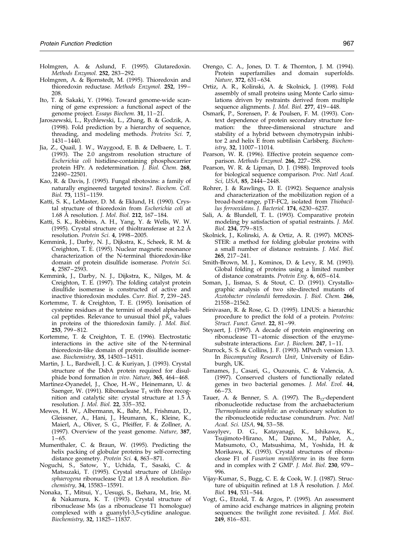- <span id="page-18-0"></span>Holmgren, A. & Aslund, F. (1995). Glutaredoxin. Methods Enzymol. 252, 283-292.
- Holmgren, A. & Bjornstedt, M. (1995). Thioredoxin and thioredoxin reductase. Methods Enzymol. 252, 199-208.
- Ito, T. & Sakaki, Y. (1996). Toward genome-wide scanning of gene expression: a functional aspect of the genome project. Essays Biochem.  $31, 11-21$ .
- Jaroszewski, L., Rychlewski, L., Zhang, B. & Godzik, A. (1998). Fold prediction by a hierarchy of sequence, threading, and modeling methods. Proteins Sci. 7, 1431-1440.
- Jia, Z., Quail, J. W., Waygood, E. B. & Delbaere, L. T. (1993). The 2.0 angstrom resolution structure of Escherichia coli histidine-containing phosphocarrier protein HPr. A redetermination. *J. Biol. Chem.* 268,  $22490 - 22501$ .
- Kao, R. & Davis, J. (1995). Fungal ribotoxins: a family of naturally engineered targeted toxins?. Biochem. Cell. Biol. 73, 1151-1159.
- Katti, S. K., LeMaster, D. M. & Eklund, H. (1990). Crystal structure of thioredoxin from Escherichia coli at 1.68 Å resolution. J. Mol. Biol. 212, 167-184.
- Katti, S. K., Robbins, A. H., Yang, Y. & Wells, W. W. (1995). Crystal structure of thioltransferase at 2.2  $\AA$ resolution. Protein Sci. 4, 1998-2005.
- Kemmink, J., Darby, N. J., Dijkstra, K., Scheek, R. M. & Creighton, T. E. (1995). Nuclear magnetic resonance characterization of the N-terminal thioredoxin-like domain of protein disulfide isomerase. Protein Sci. 4, 2587-2593.
- Kemmink, J., Darby, N. J., Dijkstra, K., Nilges, M. & Creighton, T. E. (1997). The folding catalyst protein disulfide isomerase is constructed of active and inactive thioredoxin modules. Curr. Biol. 7, 239-245.
- Kortemme, T. & Creighton, T. E. (1995). Ionisation of cysteine residues at the termini of model alpha-helical peptides. Relevance to unusual thiol  $pK_a$  values in proteins of the thioredoxin family. J. Mol. Biol.  $253, 799 - 812.$
- Kortemme, T. & Creighton, T. E. (1996). Electrostatic interactions in the active site of the N-terminal thioredoxin-like domain of protein disulfide isomerase. Biochemistry, 35, 14503-14511.
- Martin, J. L., Bardwell, J. C. & Kuriyan, J. (1993). Crystal structure of the DsbA protein required for disulphide bond formation in vivo. Nature, 365, 464-468.
- Martinez-Oyanedel, J., Choe, H.-W., Heinemann, U. & Saenger, W. (1991). Ribonuclease  $T_1$  with free recognition and catalytic site: crystal structure at  $1.5 \text{ Å}$ resolution. J. Mol. Biol. 22, 335-352.
- Mewes, H. W., Albermann, K., Bahr, M., Frishman, D., Gleissner, A., Hani, J., Heumann, K., Kleine, K., Maierl, A., Oliver, S. G., Pfeiffer, F. & Zollner, A. (1997). Overview of the yeast genome. Nature, 387,  $1 - 65.$
- Mumenthaler, C. & Braun, W. (1995). Predicting the helix packing of globular proteins by self-correcting distance geometry. Protein Sci. 4, 863–871.
- Noguchi, S., Satow, Y., Uchida, T., Sasaki, C. & Matsuzaki, T. (1995). Crystal structure of Ustilago sphaerogena ribonuclease  $U2$  at 1.8 Å resolution. Biochemistry, 34, 15583-15591.
- Nonaka, T., Mitsui, Y., Uesugi, S., Ikehara, M., Irie, M. & Nakamura, K. T. (1993). Crystal structure of ribonuclease Ms (as a ribonuclease T1 homologue) complexed with a guanylyl-3,5-cytidine analogue. Biochemistry, 32, 11825-11837.
- Orengo, C. A., Jones, D. T. & Thornton, J. M. (1994). Protein superfamilies and domain superfolds. Nature, 372, 631-634.
- Ortiz, A. R., Kolinski, A. & Skolnick, J. (1998). Fold assembly of small proteins using Monte Carlo simulations driven by restraints derived from multiple sequence alignments. J. Mol. Biol. 277, 419-448.
- Osmark, P., Sorensen, P. & Poulsen, F. M. (1993). Context dependence of protein secondary structure formation: the three-dimensional structure and stability of a hybrid between chymotrypsin inhibitor 2 and helix E from subtilisin Carlsberg. Biochemistry, 32, 11007-11014.
- Pearson, W. R. (1996). Effective protein sequence comparison. Methods Enzymol. 266, 227-258.
- Pearson, W. R. & Lipman, D. J. (1988). Improved tools for biological sequence comparison. Proc. Natl Acad. Sci, USA, 85, 2444-2448.
- Rohrer, J. & Rawlings, D. E. (1992). Sequence analysis and characterization of the mobilization region of a broad-host-range, pTF-FC2, isolated from Thiobacillus ferrooxidans. J. Bacteriol. 174, 6230-6237.
- Sali, A. & Blundell, T. L. (1993). Comparative protein modeling by satisfaction of spatial restraints. J. Mol. Biol. 234, 779-815.
- Skolnick, J., Kolinski, A. & Ortiz, A. R. (1997). MONS-STER: a method for folding globular proteins with a small number of distance restraints. J. Mol. Biol. 265, 217-241.
- Smith-Brown, M. J., Kominos, D. & Levy, R. M. (1993). Global folding of proteins using a limited number of distance constraints. Protein Eng. 6, 605-614.
- Soman, J., Iismaa, S. & Stout, C. D. (1991). Crystallographic analysis of two site-directed mutants of Azotobacter vinelandii ferredoxin. J. Biol. Chem. 266, 21558-21562.
- Srinivasan, R. & Rose, G. D. (1995). LINUS: a hierarchic procedure to predict the fold of a protein. Proteins:  $\overline{S}$ truct. Funct.  $\overline{G}$ enet. 22, 81–99.
- Steyaert, J. (1997). A decade of protein engineering on ribonuclease T1-atomic dissection of the enzymesubstrate interactions. Eur. J. Biochem. 247, 1-11.
- Sturrock, S. S. & Collins, J. F. (1993). MPsrch version 1.3. In Biocomputing Research Unit, University of Edinburgh, UK.
- Tamames, J., Casari, G., Ouzounis, C. & Valencia, A. (1997). Conserved clusters of functionally related genes in two bacterial genomes. J. Mol. Evol. 44,  $66 - 73.$
- Tauer, A. & Benner, S. A. (1997). The  $B_{12}$ -dependent ribonucleotide reductase from the archaebacterium Thermoplasma acidophila: an evolutionary solution to the ribonucleotide reductase conundrum. Proc. Natl Acad. Sci. USA, 94, 53-58.
- Vassylyev, D. G., Katayanagi, K., Ishikawa, K., Tsujimoto-Hirano, M., Danno, M., Pahler, A., Matsumoto, O., Matsushima, M., Yoshida, H. & Morikawa, K. (1993). Crystal structures of ribonuclease F1 of Fusarium moniliforme in its free form and in complex with 2' GMP. J. Mol. Biol. 230, 979-996.
- Vijay-Kumar, S., Bugg, C. E. & Cook, W. J. (1987). Structure of ubiquitin refined at  $1.8$  Å resolution. *J. Mol.* Biol. 194, 531-544.
- Vogt, G., Etzold, T. & Argos, P. (1995). An assessment of amino acid exchange matrices in aligning protein sequences: the twilight zone revisited. J. Mol. Biol. 249, 816-831.